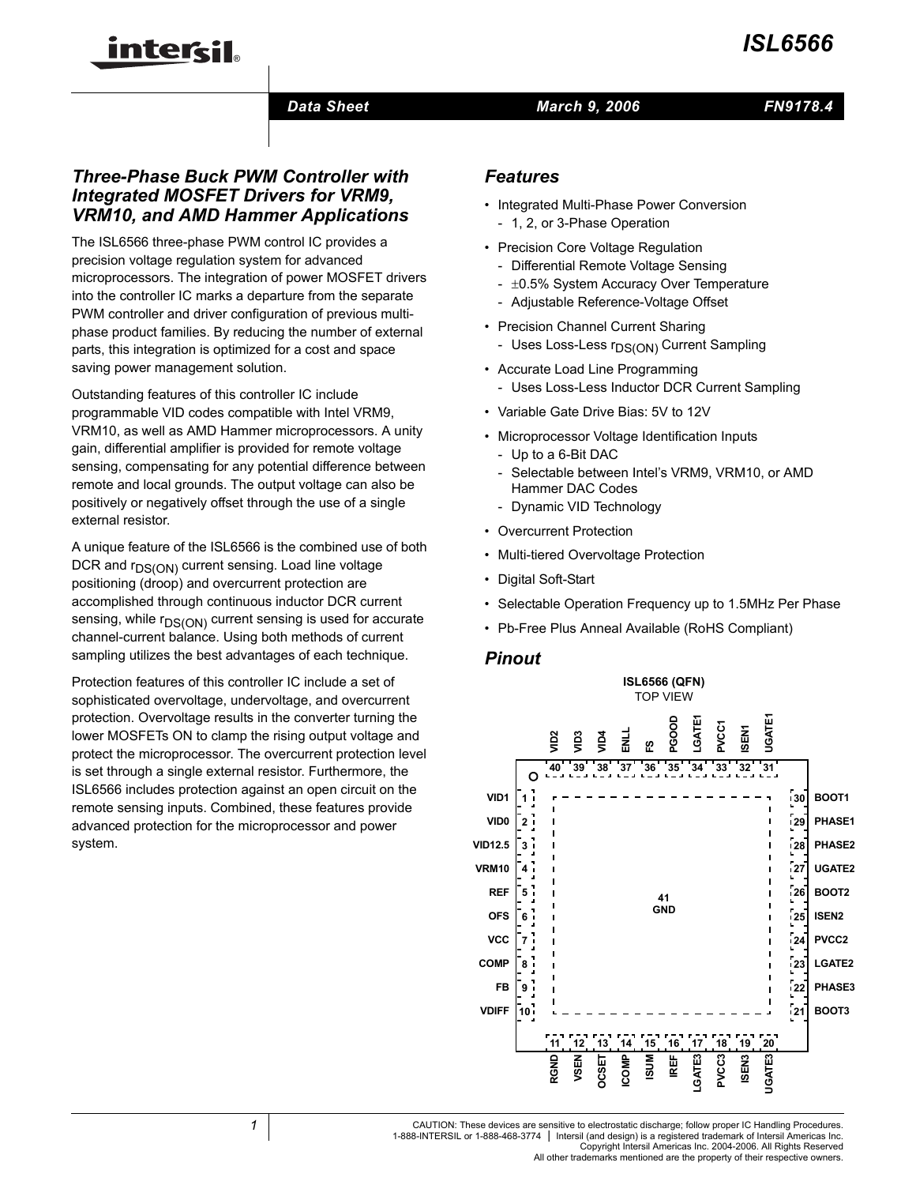# inter<del>ci</del>l.

# *March 9, 2006*

# *FN9178.4*

# *Three-Phase Buck PWM Controller with Integrated MOSFET Drivers for VRM9, VRM10, and AMD Hammer Applications*

*Data Sheet*

The ISL6566 three-phase PWM control IC provides a precision voltage regulation system for advanced microprocessors. The integration of power MOSFET drivers into the controller IC marks a departure from the separate PWM controller and driver configuration of previous multiphase product families. By reducing the number of external parts, this integration is optimized for a cost and space saving power management solution.

Outstanding features of this controller IC include programmable VID codes compatible with Intel VRM9, VRM10, as well as AMD Hammer microprocessors. A unity gain, differential amplifier is provided for remote voltage sensing, compensating for any potential difference between remote and local grounds. The output voltage can also be positively or negatively offset through the use of a single external resistor.

A unique feature of the ISL6566 is the combined use of both DCR and  $r_{DS(ON)}$  current sensing. Load line voltage positioning (droop) and overcurrent protection are accomplished through continuous inductor DCR current sensing, while  $r_{DS(ON)}$  current sensing is used for accurate channel-current balance. Using both methods of current sampling utilizes the best advantages of each technique.

Protection features of this controller IC include a set of sophisticated overvoltage, undervoltage, and overcurrent protection. Overvoltage results in the converter turning the lower MOSFETs ON to clamp the rising output voltage and protect the microprocessor. The overcurrent protection level is set through a single external resistor. Furthermore, the ISL6566 includes protection against an open circuit on the remote sensing inputs. Combined, these features provide advanced protection for the microprocessor and power system.

# *Features*

- Integrated Multi-Phase Power Conversion - 1, 2, or 3-Phase Operation
- Precision Core Voltage Regulation
	- Differential Remote Voltage Sensing
	- ±0.5% System Accuracy Over Temperature
	- Adjustable Reference-Voltage Offset
- Precision Channel Current Sharing
	- Uses Loss-Less r<sub>DS(ON)</sub> Current Sampling
- Accurate Load Line Programming - Uses Loss-Less Inductor DCR Current Sampling
- Variable Gate Drive Bias: 5V to 12V
- Microprocessor Voltage Identification Inputs
	- Up to a 6-Bit DAC
	- Selectable between Intel's VRM9, VRM10, or AMD Hammer DAC Codes
	- Dynamic VID Technology
- Overcurrent Protection
- Multi-tiered Overvoltage Protection
- Digital Soft-Start
- Selectable Operation Frequency up to 1.5MHz Per Phase
- Pb-Free Plus Anneal Available (RoHS Compliant)

# *Pinout*

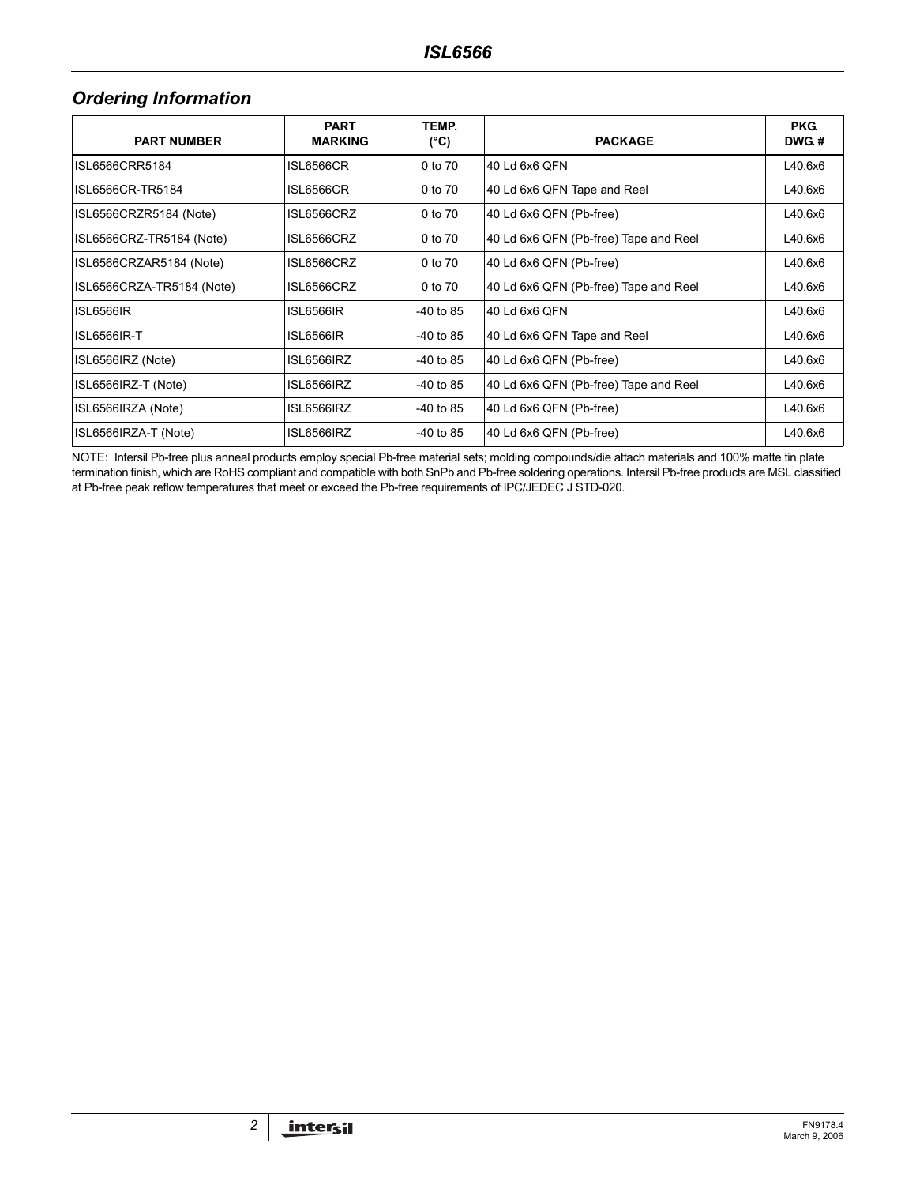# *Ordering Information*

| <b>PART NUMBER</b>        | <b>PART</b><br><b>MARKING</b> | TEMP.<br>(°C) | <b>PACKAGE</b>                        | <b>PKG</b><br>DWG.# |
|---------------------------|-------------------------------|---------------|---------------------------------------|---------------------|
| ISL6566CRR5184            | ISL6566CR                     | 0 to 70       | 40 Ld 6x6 QFN                         | L40.6x6             |
| ISL6566CR-TR5184          | ISL6566CR                     | 0 to 70       | 40 Ld 6x6 QFN Tape and Reel           | L40.6x6             |
| ISL6566CRZR5184 (Note)    | ISL6566CRZ                    | 0 to 70       | 40 Ld 6x6 QFN (Pb-free)               | L40.6x6             |
| ISL6566CRZ-TR5184 (Note)  | ISL6566CRZ                    | 0 to 70       | 40 Ld 6x6 QFN (Pb-free) Tape and Reel | L40.6x6             |
| ISL6566CRZAR5184 (Note)   | ISL6566CRZ                    | 0 to 70       | 40 Ld 6x6 QFN (Pb-free)               | L40.6x6             |
| ISL6566CRZA-TR5184 (Note) | ISL6566CRZ                    | 0 to 70       | 40 Ld 6x6 QFN (Pb-free) Tape and Reel | L40.6x6             |
| <b>ISL6566IR</b>          | ISL6566IR                     | $-40$ to 85   | 40 Ld 6x6 QFN                         | L40.6x6             |
| ISL6566IR-T               | ISL6566IR                     | $-40$ to 85   | 40 Ld 6x6 QFN Tape and Reel           | L40.6x6             |
| ISL6566IRZ (Note)         | ISL6566IRZ                    | $-40$ to 85   | 40 Ld 6x6 QFN (Pb-free)               | L40.6x6             |
| ISL6566IRZ-T (Note)       | ISL6566IRZ                    | $-40$ to 85   | 40 Ld 6x6 QFN (Pb-free) Tape and Reel | L40.6x6             |
| ISL6566IRZA (Note)        | ISL6566IRZ                    | $-40$ to 85   | 40 Ld 6x6 QFN (Pb-free)               | L40.6x6             |
| ISL6566IRZA-T (Note)      | ISL6566IRZ                    | $-40$ to 85   | 40 Ld 6x6 QFN (Pb-free)               | L40.6x6             |

NOTE: Intersil Pb-free plus anneal products employ special Pb-free material sets; molding compounds/die attach materials and 100% matte tin plate termination finish, which are RoHS compliant and compatible with both SnPb and Pb-free soldering operations. Intersil Pb-free products are MSL classified at Pb-free peak reflow temperatures that meet or exceed the Pb-free requirements of IPC/JEDEC J STD-020.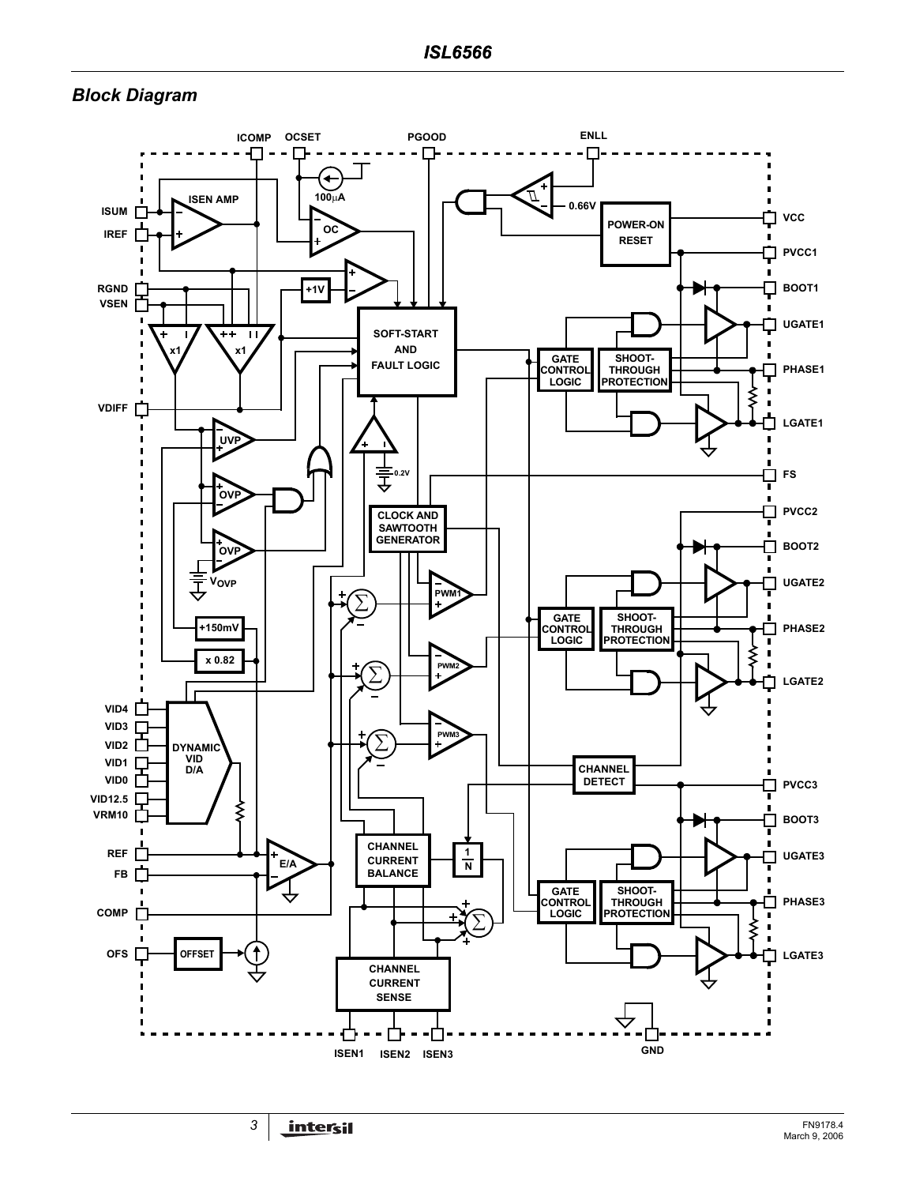# <span id="page-2-0"></span>*Block Diagram*

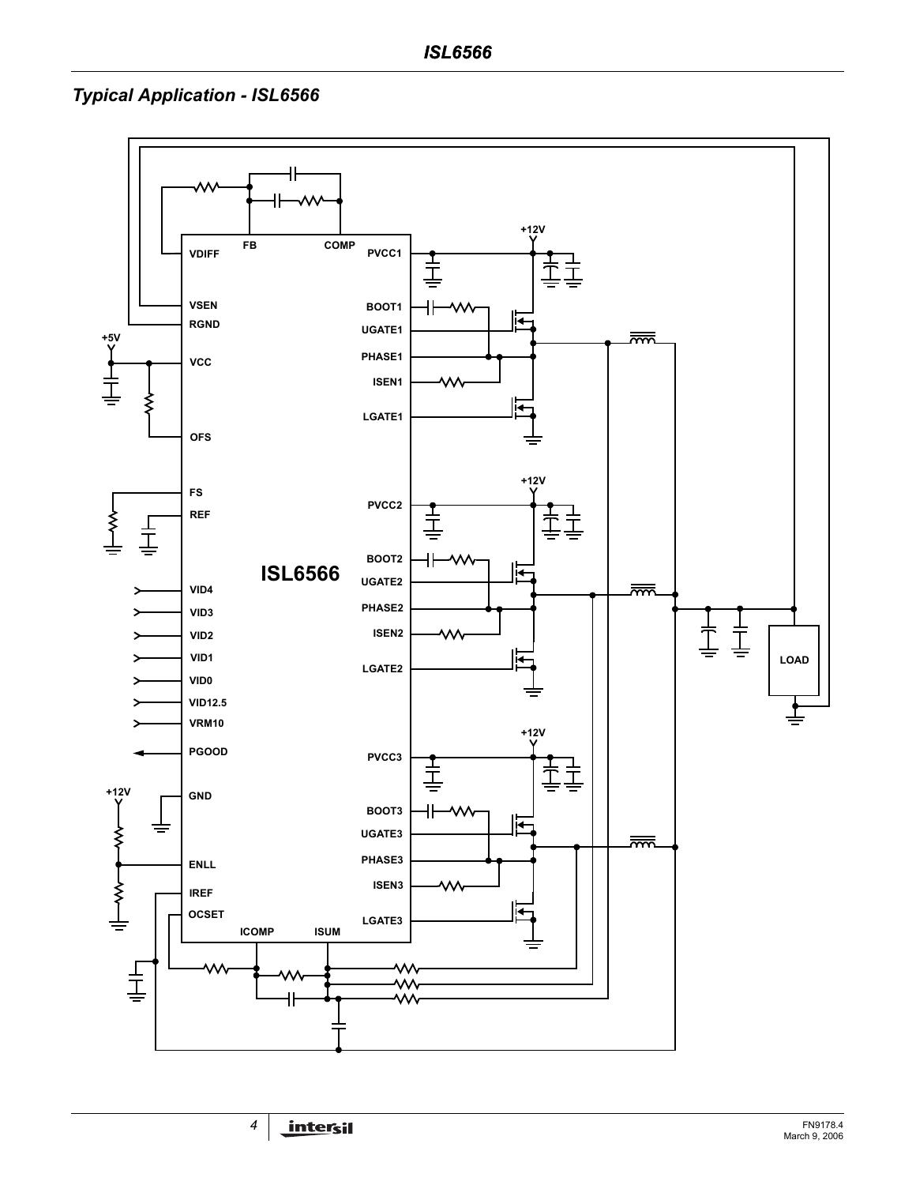# *Typical Application - ISL6566*

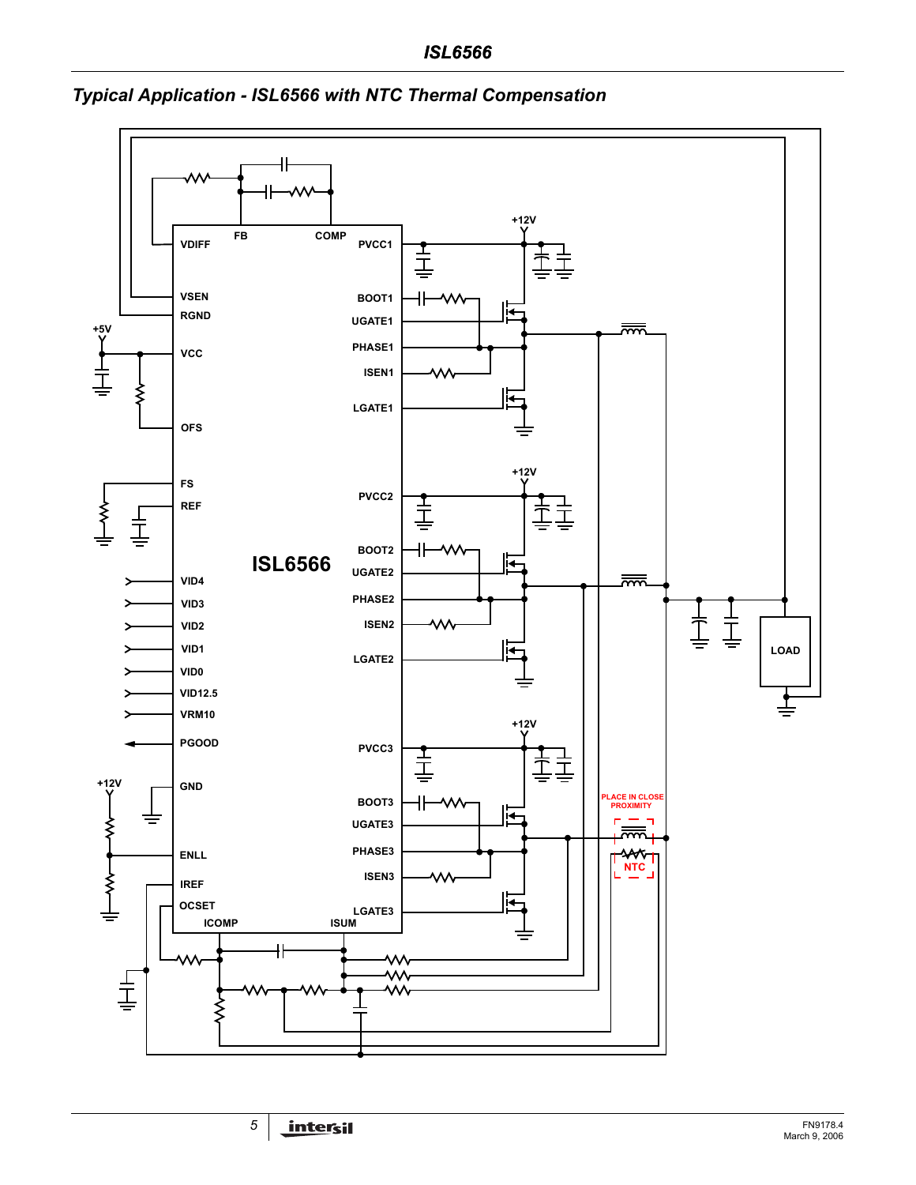

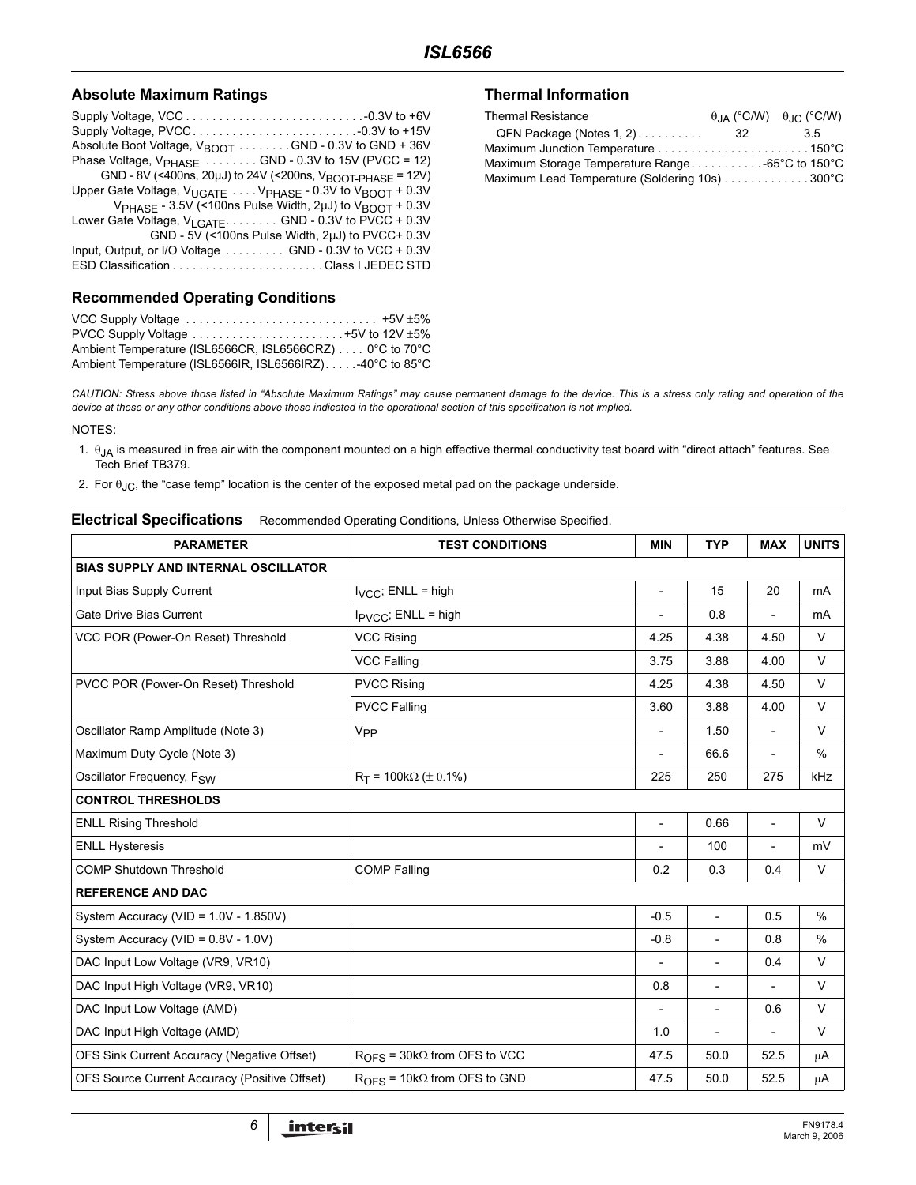### **Absolute Maximum Ratings**

### **Recommended Operating Conditions**

| VCC Supply Voltage $\ldots \ldots \ldots \ldots \ldots \ldots \ldots \ldots \ldots \ldots +5V \pm 5\%$ |  |
|--------------------------------------------------------------------------------------------------------|--|
| PVCC Supply Voltage $\dots \dots \dots \dots \dots \dots \dots \dots +5V$ to 12V $\pm 5\%$             |  |
| Ambient Temperature (ISL6566CR, ISL6566CRZ) 0°C to 70°C                                                |  |
| Ambient Temperature (ISL6566IR, ISL6566IRZ)40°C to 85°C                                                |  |

### **Thermal Information**

| <b>Thermal Resistance</b>                        |    | $\theta$ <sub>JA</sub> (°C/W) $\theta$ <sub>JC</sub> (°C/W) |
|--------------------------------------------------|----|-------------------------------------------------------------|
| QFN Package (Notes 1, 2).                        | 32 | 35                                                          |
|                                                  |    |                                                             |
| Maximum Storage Temperature Range -65°C to 150°C |    |                                                             |
| Maximum Lead Temperature (Soldering 10s) 300°C   |    |                                                             |

*CAUTION: Stress above those listed in "Absolute Maximum Ratings" may cause permanent damage to the device. This is a stress only rating and operation of the device at these or any other conditions above those indicated in the operational section of this specification is not implied.*

NOTES:

- 1.  $\theta_{JA}$  is measured in free air with the component mounted on a high effective thermal conductivity test board with "direct attach" features. See Tech Brief TB379.
- 2. For  $\theta_{JC}$ , the "case temp" location is the center of the exposed metal pad on the package underside.

#### **Electrical Specifications** Recommended Operating Conditions, Unless Otherwise Specified.

| <b>PARAMETER</b>                              | <b>TEST CONDITIONS</b>                | <b>MIN</b>               | <b>TYP</b>               | <b>MAX</b>                   | <b>UNITS</b>  |
|-----------------------------------------------|---------------------------------------|--------------------------|--------------------------|------------------------------|---------------|
| <b>BIAS SUPPLY AND INTERNAL OSCILLATOR</b>    |                                       |                          |                          |                              |               |
| Input Bias Supply Current                     | $I_{VCC}$ ; ENLL = high               | $\overline{\phantom{a}}$ | 15                       | 20                           | mA            |
| Gate Drive Bias Current                       | $I_{\text{PVCC}}$ ; ENLL = high       | $\overline{a}$           | 0.8                      |                              | mA            |
| VCC POR (Power-On Reset) Threshold            | <b>VCC Rising</b>                     | 4.25                     | 4.38                     | 4.50                         | V             |
|                                               | <b>VCC Falling</b>                    | 3.75                     | 3.88                     | 4.00                         | $\vee$        |
| PVCC POR (Power-On Reset) Threshold           | <b>PVCC Rising</b>                    | 4.25                     | 4.38                     | 4.50                         | $\vee$        |
|                                               | <b>PVCC Falling</b>                   | 3.60                     | 3.88                     | 4.00                         | $\vee$        |
| Oscillator Ramp Amplitude (Note 3)            | V <sub>PP</sub>                       | $\overline{\phantom{a}}$ | 1.50                     | $\overline{a}$               | $\vee$        |
| Maximum Duty Cycle (Note 3)                   |                                       | $\overline{a}$           | 66.6                     | $\overline{a}$               | $\%$          |
| Oscillator Frequency, F <sub>SW</sub>         | $R_T$ = 100kΩ ( $\pm$ 0.1%)           | 225                      | 250                      | 275                          | kHz           |
| <b>CONTROL THRESHOLDS</b>                     |                                       |                          |                          |                              |               |
| <b>ENLL Rising Threshold</b>                  |                                       | $\overline{\phantom{a}}$ | 0.66                     | $\overline{a}$               | $\vee$        |
| <b>ENLL Hysteresis</b>                        |                                       | $\overline{\phantom{a}}$ | 100                      | $\qquad \qquad \blacksquare$ | mV            |
| <b>COMP Shutdown Threshold</b>                | <b>COMP Falling</b>                   | 0.2                      | 0.3                      | 0.4                          | $\vee$        |
| <b>REFERENCE AND DAC</b>                      |                                       |                          |                          |                              |               |
| System Accuracy (VID = $1.0V - 1.850V$ )      |                                       | $-0.5$                   | $\overline{\phantom{a}}$ | 0.5                          | $\frac{0}{0}$ |
| System Accuracy (VID = 0.8V - 1.0V)           |                                       | $-0.8$                   | $\overline{\phantom{a}}$ | 0.8                          | $\frac{0}{0}$ |
| DAC Input Low Voltage (VR9, VR10)             |                                       | $\overline{\phantom{a}}$ | $\overline{\phantom{a}}$ | 0.4                          | $\vee$        |
| DAC Input High Voltage (VR9, VR10)            |                                       | 0.8                      | $\overline{\phantom{a}}$ |                              | $\vee$        |
| DAC Input Low Voltage (AMD)                   |                                       | $\overline{\phantom{a}}$ | $\overline{\phantom{a}}$ | 0.6                          | $\vee$        |
| DAC Input High Voltage (AMD)                  |                                       | 1.0                      |                          |                              | $\vee$        |
| OFS Sink Current Accuracy (Negative Offset)   | $ROES$ = 30k $\Omega$ from OFS to VCC | 47.5                     | 50.0                     | 52.5                         | μA            |
| OFS Source Current Accuracy (Positive Offset) | $ROFS$ = 10k $\Omega$ from OFS to GND | 47.5                     | 50.0                     | 52.5                         | μA            |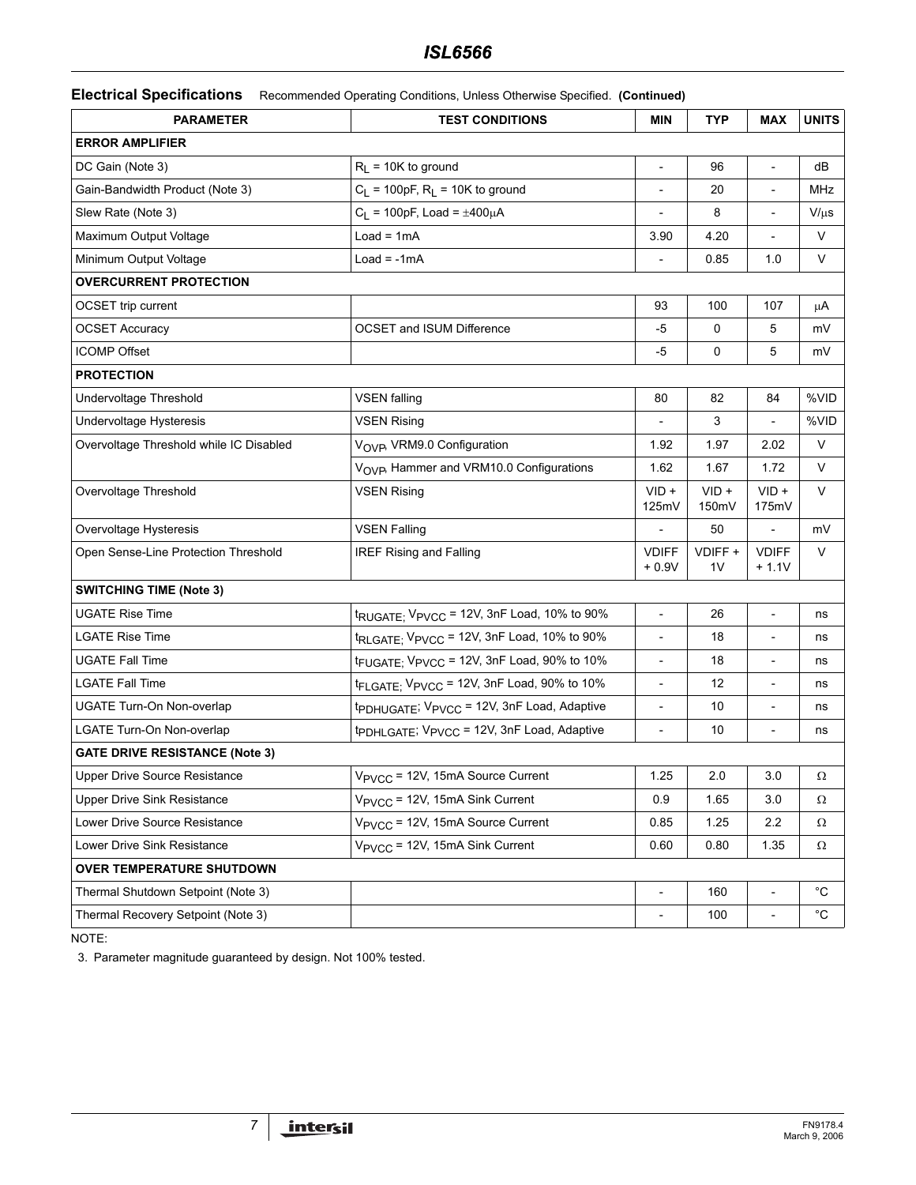# *ISL6566*

**Electrical Specifications** Recommended Operating Conditions, Unless Otherwise Specified. **(Continued)**

| <b>PARAMETER</b><br><b>TEST CONDITIONS</b> |                                                                    | <b>MIN</b>               | <b>TYP</b>       | <b>MAX</b>               | <b>UNITS</b> |
|--------------------------------------------|--------------------------------------------------------------------|--------------------------|------------------|--------------------------|--------------|
| <b>ERROR AMPLIFIER</b>                     |                                                                    |                          |                  |                          |              |
| DC Gain (Note 3)                           | $R_L$ = 10K to ground                                              |                          | 96               | $\overline{\phantom{a}}$ | dB           |
| Gain-Bandwidth Product (Note 3)            | $C_L$ = 100pF, $R_L$ = 10K to ground                               |                          | 20               | $\overline{\phantom{0}}$ | MHz          |
| Slew Rate (Note 3)                         | $C_L$ = 100pF, Load = $\pm 400 \mu A$                              |                          | 8                |                          | $V/\mu s$    |
| Maximum Output Voltage                     | $Load = 1mA$                                                       | 3.90                     | 4.20             |                          | $\vee$       |
| Minimum Output Voltage                     | $Load = -1mA$                                                      |                          | 0.85             | 1.0                      | V            |
| <b>OVERCURRENT PROTECTION</b>              |                                                                    |                          |                  |                          |              |
| <b>OCSET</b> trip current                  |                                                                    | 93                       | 100              | 107                      | μA           |
| <b>OCSET Accuracy</b>                      | <b>OCSET and ISUM Difference</b>                                   | $-5$                     | 0                | 5                        | mV           |
| <b>ICOMP Offset</b>                        |                                                                    | -5                       | 0                | 5                        | mV           |
| <b>PROTECTION</b>                          |                                                                    |                          |                  |                          |              |
| Undervoltage Threshold                     | <b>VSEN falling</b>                                                | 80                       | 82               | 84                       | %VID         |
| Undervoltage Hysteresis                    | <b>VSEN Rising</b>                                                 |                          | 3                |                          | %VID         |
| Overvoltage Threshold while IC Disabled    | V <sub>OVP</sub> , VRM9.0 Configuration                            | 1.92                     | 1.97             | 2.02                     | V            |
|                                            | V <sub>OVP</sub> , Hammer and VRM10.0 Configurations               | 1.62                     | 1.67             | 1.72                     | V            |
| Overvoltage Threshold                      | <b>VSEN Rising</b>                                                 | $VID +$<br>125mV         | $VID +$<br>150mV | $VID +$<br>175mV         | V            |
| Overvoltage Hysteresis                     | <b>VSEN Falling</b>                                                |                          | 50               | $\overline{a}$           | mV           |
| Open Sense-Line Protection Threshold       | <b>IREF Rising and Falling</b>                                     | <b>VDIFF</b><br>$+0.9V$  | VDIFF +<br>1V    | <b>VDIFF</b><br>$+ 1.1V$ | $\vee$       |
| <b>SWITCHING TIME (Note 3)</b>             |                                                                    |                          |                  |                          |              |
| <b>UGATE Rise Time</b>                     | t <sub>RUGATE;</sub> V <sub>PVCC</sub> = 12V, 3nF Load, 10% to 90% | $\overline{\phantom{a}}$ | 26               | $\overline{\phantom{m}}$ | ns           |
| <b>LGATE Rise Time</b>                     | t <sub>RLGATE;</sub> V <sub>PVCC</sub> = 12V, 3nF Load, 10% to 90% | $\overline{a}$           | 18               | $\overline{\phantom{0}}$ | ns           |
| <b>UGATE Fall Time</b>                     | t <sub>FUGATE;</sub> V <sub>PVCC</sub> = 12V, 3nF Load, 90% to 10% |                          | 18               |                          | ns           |
| <b>LGATE Fall Time</b>                     | tFLGATE; VPVCC = 12V, 3nF Load, 90% to 10%                         | $\overline{\phantom{a}}$ | 12               | $\overline{\phantom{0}}$ | ns           |
| <b>UGATE Turn-On Non-overlap</b>           | tpDHUGATE; VPVCC = 12V, 3nF Load, Adaptive                         |                          | 10               |                          | ns           |
| LGATE Turn-On Non-overlap                  | tpDHLGATE; V <sub>PVCC</sub> = 12V, 3nF Load, Adaptive             | $\overline{\phantom{a}}$ | 10               | $\overline{\phantom{a}}$ | ns           |
| <b>GATE DRIVE RESISTANCE (Note 3)</b>      |                                                                    |                          |                  |                          |              |
| Upper Drive Source Resistance              | V <sub>PVCC</sub> = 12V, 15mA Source Current                       | 1.25                     | $2.0\,$          | $3.0\,$                  | $\Omega$     |
| Upper Drive Sink Resistance                | V <sub>PVCC</sub> = 12V, 15mA Sink Current                         | 0.9                      | 1.65             | 3.0                      | Ω            |
| Lower Drive Source Resistance              | V <sub>PVCC</sub> = 12V, 15mA Source Current                       | 0.85                     | 1.25             | 2.2                      | Ω            |
| Lower Drive Sink Resistance                | $V_{\text{PVCC}}$ = 12V, 15mA Sink Current                         | 0.60                     | 0.80             | 1.35                     | Ω            |
| <b>OVER TEMPERATURE SHUTDOWN</b>           |                                                                    |                          |                  |                          |              |
| Thermal Shutdown Setpoint (Note 3)         |                                                                    | $\overline{\phantom{a}}$ | 160              | $\overline{\phantom{m}}$ | $^{\circ}$ C |
| Thermal Recovery Setpoint (Note 3)         |                                                                    |                          | 100              | $\overline{\phantom{a}}$ | $^{\circ}C$  |

NOTE:

<span id="page-6-0"></span>3. Parameter magnitude guaranteed by design. Not 100% tested.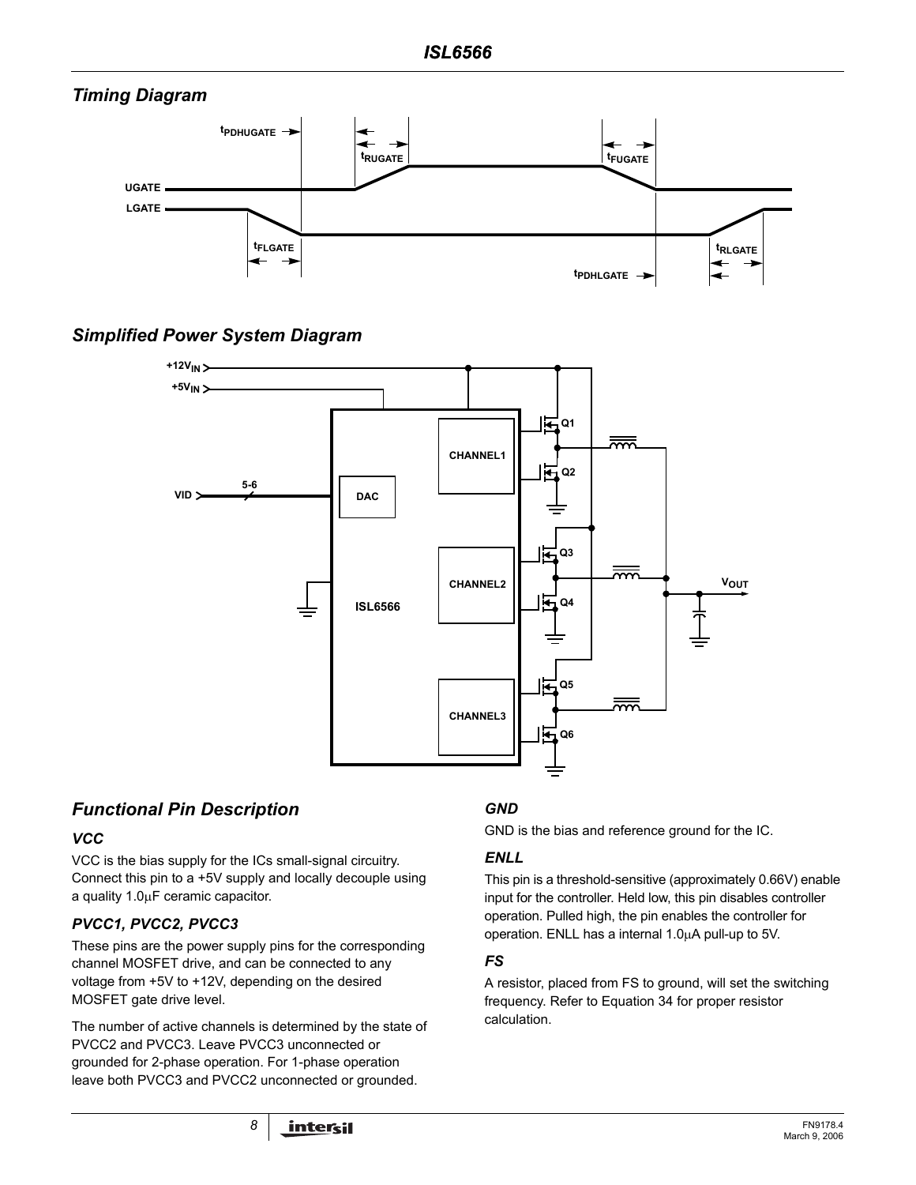# *Timing Diagram*



*Simplified Power System Diagram*



# *Functional Pin Description*

# *VCC*

VCC is the bias supply for the ICs small-signal circuitry. Connect this pin to a +5V supply and locally decouple using a quality 1.0µF ceramic capacitor.

# *PVCC1, PVCC2, PVCC3*

These pins are the power supply pins for the corresponding channel MOSFET drive, and can be connected to any voltage from +5V to +12V, depending on the desired MOSFET gate drive level.

The number of active channels is determined by the state of PVCC2 and PVCC3. Leave PVCC3 unconnected or grounded for 2-phase operation. For 1-phase operation leave both PVCC3 and PVCC2 unconnected or grounded.

# *GND*

GND is the bias and reference ground for the IC.

# *ENLL*

This pin is a threshold-sensitive (approximately 0.66V) enable input for the controller. Held low, this pin disables controller operation. Pulled high, the pin enables the controller for operation. ENLL has a internal 1.0µA pull-up to 5V.

# *FS*

A resistor, placed from FS to ground, will set the switching frequency. Refer to Equation 34 for proper resistor calculation.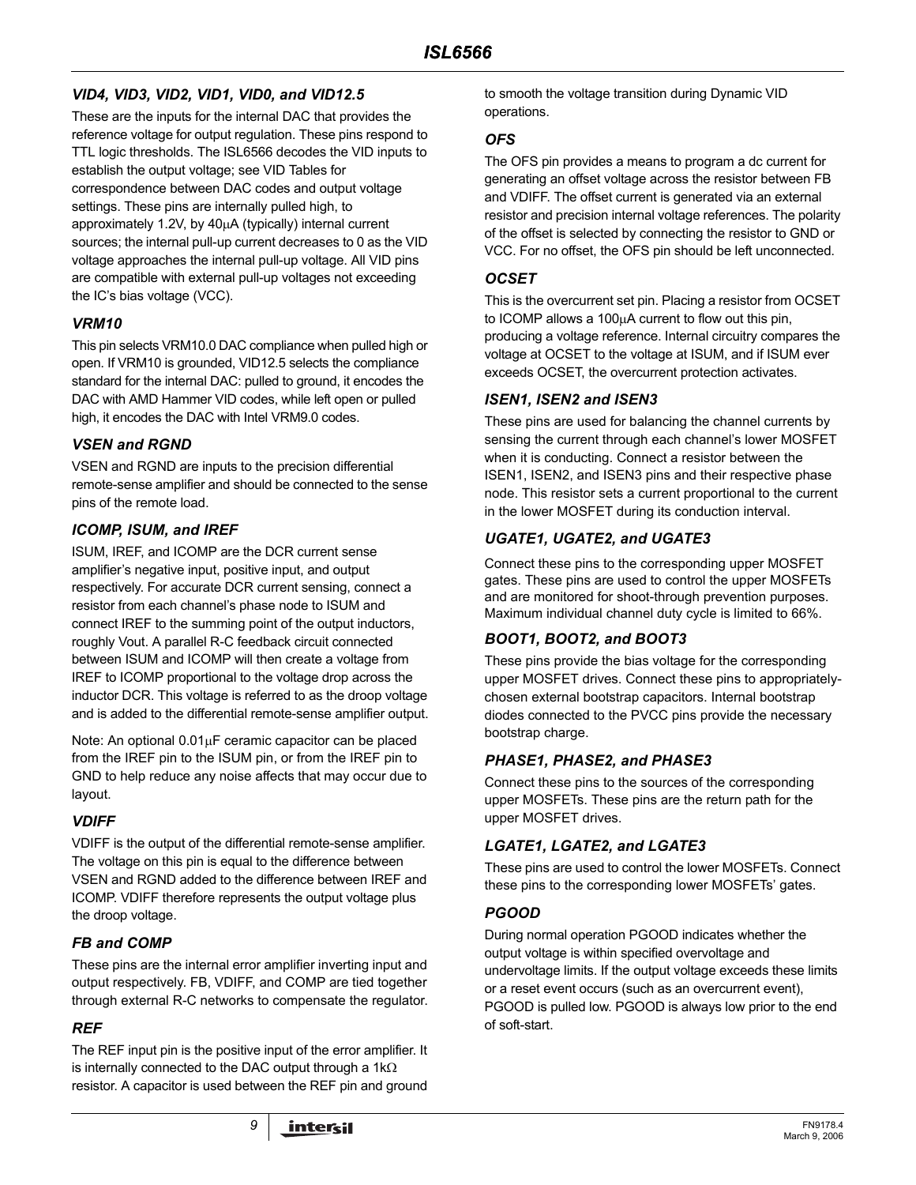# *VID4, VID3, VID2, VID1, VID0, and VID12.5*

These are the inputs for the internal DAC that provides the reference voltage for output regulation. These pins respond to TTL logic thresholds. The ISL6566 decodes the VID inputs to establish the output voltage; see VID Tables for correspondence between DAC codes and output voltage settings. These pins are internally pulled high, to approximately 1.2V, by 40µA (typically) internal current sources; the internal pull-up current decreases to 0 as the VID voltage approaches the internal pull-up voltage. All VID pins are compatible with external pull-up voltages not exceeding the IC's bias voltage (VCC).

# *VRM10*

This pin selects VRM10.0 DAC compliance when pulled high or open. If VRM10 is grounded, VID12.5 selects the compliance standard for the internal DAC: pulled to ground, it encodes the DAC with AMD Hammer VID codes, while left open or pulled high, it encodes the DAC with Intel VRM9.0 codes.

# *VSEN and RGND*

VSEN and RGND are inputs to the precision differential remote-sense amplifier and should be connected to the sense pins of the remote load.

# *ICOMP, ISUM, and IREF*

ISUM, IREF, and ICOMP are the DCR current sense amplifier's negative input, positive input, and output respectively. For accurate DCR current sensing, connect a resistor from each channel's phase node to ISUM and connect IREF to the summing point of the output inductors, roughly Vout. A parallel R-C feedback circuit connected between ISUM and ICOMP will then create a voltage from IREF to ICOMP proportional to the voltage drop across the inductor DCR. This voltage is referred to as the droop voltage and is added to the differential remote-sense amplifier output.

Note: An optional 0.01µF ceramic capacitor can be placed from the IREF pin to the ISUM pin, or from the IREF pin to GND to help reduce any noise affects that may occur due to layout.

# *VDIFF*

VDIFF is the output of the differential remote-sense amplifier. The voltage on this pin is equal to the difference between VSEN and RGND added to the difference between IREF and ICOMP. VDIFF therefore represents the output voltage plus the droop voltage.

# *FB and COMP*

These pins are the internal error amplifier inverting input and output respectively. FB, VDIFF, and COMP are tied together through external R-C networks to compensate the regulator.

# *REF*

The REF input pin is the positive input of the error amplifier. It is internally connected to the DAC output through a 1kΩ resistor. A capacitor is used between the REF pin and ground to smooth the voltage transition during Dynamic VID operations.

# *OFS*

The OFS pin provides a means to program a dc current for generating an offset voltage across the resistor between FB and VDIFF. The offset current is generated via an external resistor and precision internal voltage references. The polarity of the offset is selected by connecting the resistor to GND or VCC. For no offset, the OFS pin should be left unconnected.

### *OCSET*

This is the overcurrent set pin. Placing a resistor from OCSET to ICOMP allows a 100µA current to flow out this pin, producing a voltage reference. Internal circuitry compares the voltage at OCSET to the voltage at ISUM, and if ISUM ever exceeds OCSET, the overcurrent protection activates.

# *ISEN1, ISEN2 and ISEN3*

These pins are used for balancing the channel currents by sensing the current through each channel's lower MOSFET when it is conducting. Connect a resistor between the ISEN1, ISEN2, and ISEN3 pins and their respective phase node. This resistor sets a current proportional to the current in the lower MOSFET during its conduction interval.

# *UGATE1, UGATE2, and UGATE3*

Connect these pins to the corresponding upper MOSFET gates. These pins are used to control the upper MOSFETs and are monitored for shoot-through prevention purposes. Maximum individual channel duty cycle is limited to 66%.

# *BOOT1, BOOT2, and BOOT3*

These pins provide the bias voltage for the corresponding upper MOSFET drives. Connect these pins to appropriatelychosen external bootstrap capacitors. Internal bootstrap diodes connected to the PVCC pins provide the necessary bootstrap charge.

# *PHASE1, PHASE2, and PHASE3*

Connect these pins to the sources of the corresponding upper MOSFETs. These pins are the return path for the upper MOSFET drives.

# *LGATE1, LGATE2, and LGATE3*

These pins are used to control the lower MOSFETs. Connect these pins to the corresponding lower MOSFETs' gates.

# *PGOOD*

During normal operation PGOOD indicates whether the output voltage is within specified overvoltage and undervoltage limits. If the output voltage exceeds these limits or a reset event occurs (such as an overcurrent event), PGOOD is pulled low. PGOOD is always low prior to the end of soft-start.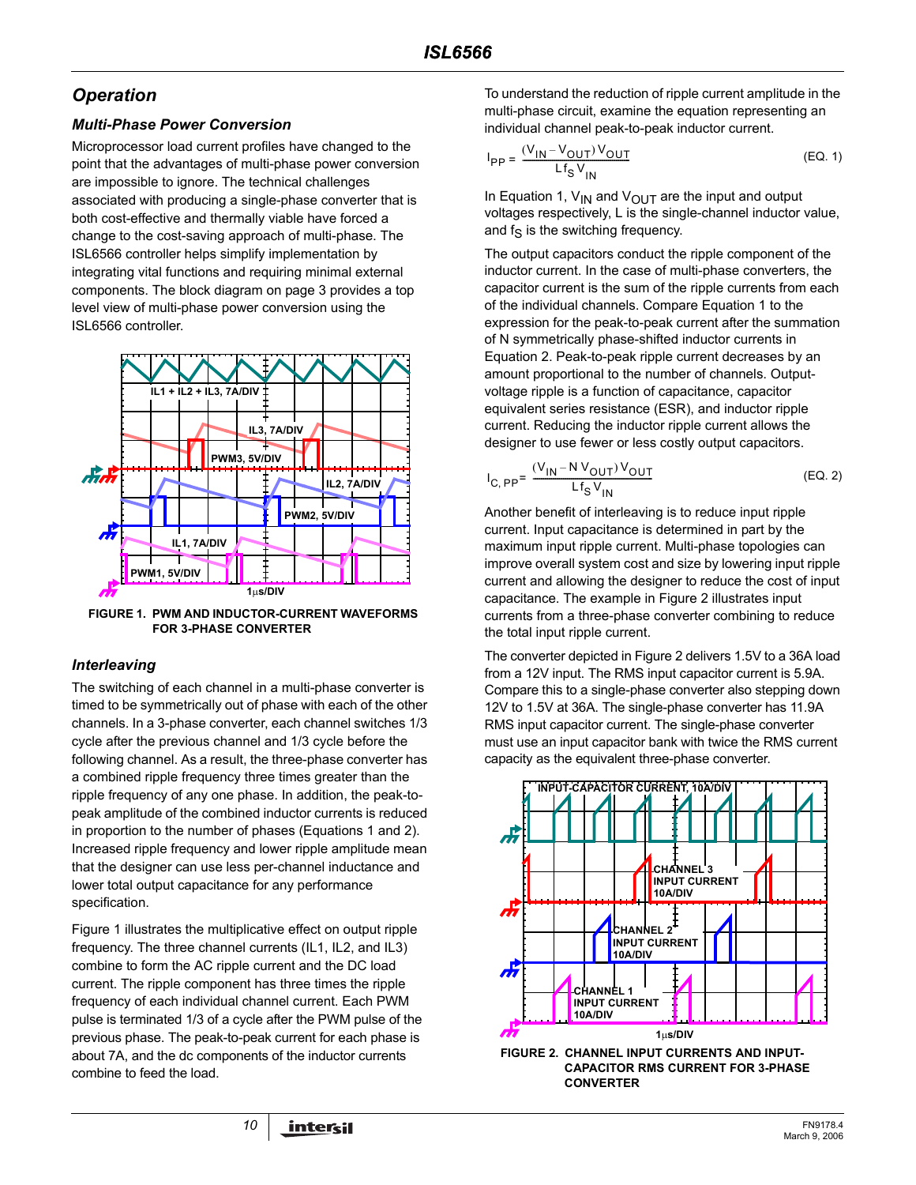# *Operation*

# *Multi-Phase Power Conversion*

Microprocessor load current profiles have changed to the point that the advantages of multi-phase power conversion are impossible to ignore. The technical challenges associated with producing a single-phase converter that is both cost-effective and thermally viable have forced a change to the cost-saving approach of multi-phase. The ISL6566 controller helps simplify implementation by integrating vital functions and requiring minimal external components. The block diagram on page [3](#page-2-0) provides a top level view of multi-phase power conversion using the ISL6566 controller.



**FIGURE 1. PWM AND INDUCTOR-CURRENT WAVEFORMS FOR 3-PHASE CONVERTER**

# <span id="page-9-2"></span>*Interleaving*

The switching of each channel in a multi-phase converter is timed to be symmetrically out of phase with each of the other channels. In a 3-phase converter, each channel switches 1/3 cycle after the previous channel and 1/3 cycle before the following channel. As a result, the three-phase converter has a combined ripple frequency three times greater than the ripple frequency of any one phase. In addition, the peak-topeak amplitude of the combined inductor currents is reduced in proportion to the number of phases (Equations [1](#page-9-0) and [2](#page-9-1)). Increased ripple frequency and lower ripple amplitude mean that the designer can use less per-channel inductance and lower total output capacitance for any performance specification.

Figure 1 illustrates the multiplicative effect on output ripple frequency. The three channel currents (IL1, IL2, and IL3) combine to form the AC ripple current and the DC load current. The ripple component has three times the ripple frequency of each individual channel current. Each PWM pulse is terminated 1/3 of a cycle after the PWM pulse of the previous phase. The peak-to-peak current for each phase is about 7A, and the dc components of the inductor currents combine to feed the load.

To understand the reduction of ripple current amplitude in the multi-phase circuit, examine the equation representing an individual channel peak-to-peak inductor current.

<span id="page-9-0"></span>
$$
I_{PP} = \frac{(V_{IN} - V_{OUT})V_{OUT}}{Lf_S V_{IN}}
$$
 (EQ. 1)

In Equation [1,](#page-9-0)  $V_{IN}$  and  $V_{OUT}$  are the input and output voltages respectively, L is the single-channel inductor value, and  $f_S$  is the switching frequency.

The output capacitors conduct the ripple component of the inductor current. In the case of multi-phase converters, the capacitor current is the sum of the ripple currents from each of the individual channels. Compare Equation [1](#page-9-0) to the expression for the peak-to-peak current after the summation of N symmetrically phase-shifted inductor currents in Equation [2](#page-9-1). Peak-to-peak ripple current decreases by an amount proportional to the number of channels. Outputvoltage ripple is a function of capacitance, capacitor equivalent series resistance (ESR), and inductor ripple current. Reducing the inductor ripple current allows the designer to use fewer or less costly output capacitors.

<span id="page-9-1"></span>
$$
I_{C, PP} = \frac{(V_{1N} - N V_{OUT}) V_{OUT}}{Lf_S V_{IN}}
$$
 (EQ. 2)

Another benefit of interleaving is to reduce input ripple current. Input capacitance is determined in part by the maximum input ripple current. Multi-phase topologies can improve overall system cost and size by lowering input ripple current and allowing the designer to reduce the cost of input capacitance. The example in Figure 2 illustrates input currents from a three-phase converter combining to reduce the total input ripple current.

The converter depicted in Figure 2 delivers 1.5V to a 36A load from a 12V input. The RMS input capacitor current is 5.9A. Compare this to a single-phase converter also stepping down 12V to 1.5V at 36A. The single-phase converter has 11.9A RMS input capacitor current. The single-phase converter must use an input capacitor bank with twice the RMS current capacity as the equivalent three-phase converter.



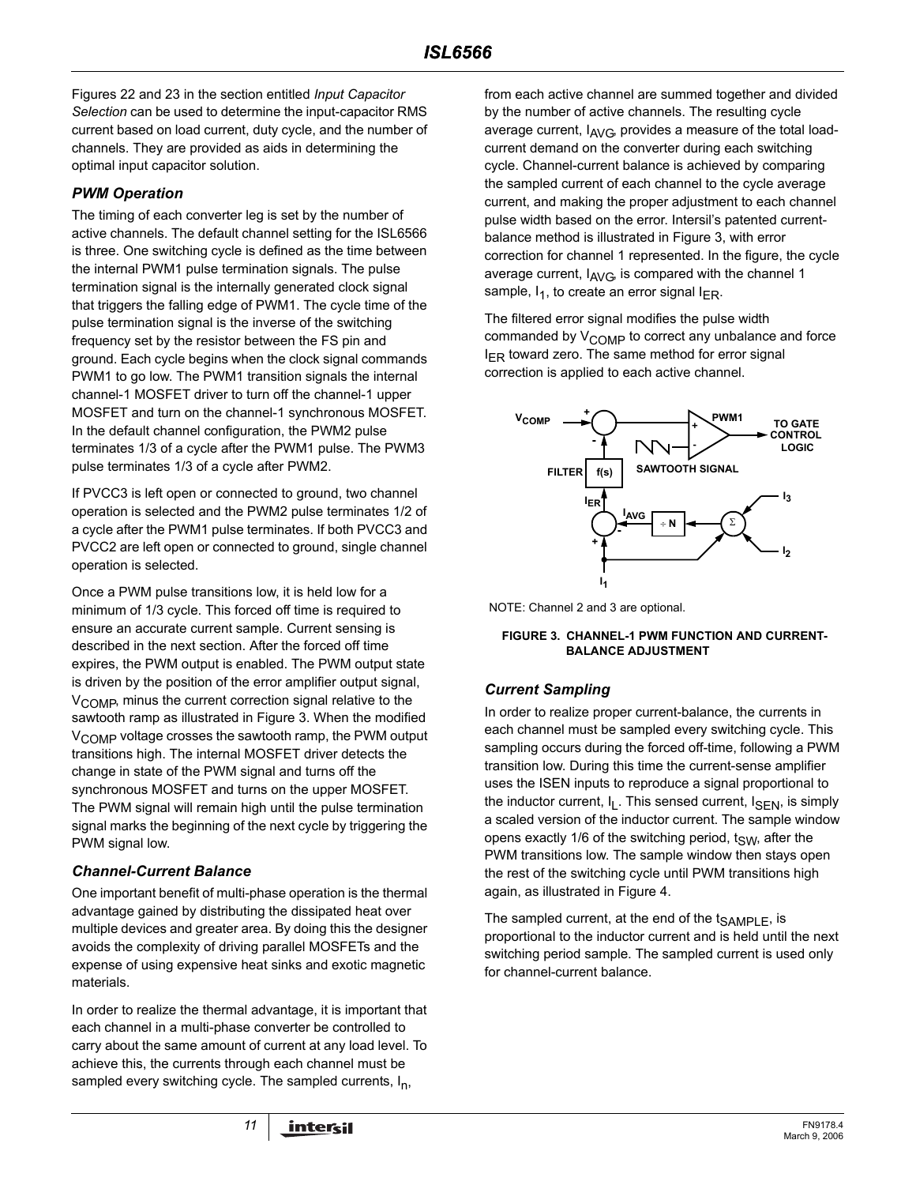Figures 22 and 23 in the section entitled *Input Capacitor Selection* can be used to determine the input-capacitor RMS current based on load current, duty cycle, and the number of channels. They are provided as aids in determining the optimal input capacitor solution.

### *PWM Operation*

The timing of each converter leg is set by the number of active channels. The default channel setting for the ISL6566 is three. One switching cycle is defined as the time between the internal PWM1 pulse termination signals. The pulse termination signal is the internally generated clock signal that triggers the falling edge of PWM1. The cycle time of the pulse termination signal is the inverse of the switching frequency set by the resistor between the FS pin and ground. Each cycle begins when the clock signal commands PWM1 to go low. The PWM1 transition signals the internal channel-1 MOSFET driver to turn off the channel-1 upper MOSFET and turn on the channel-1 synchronous MOSFET. In the default channel configuration, the PWM2 pulse terminates 1/3 of a cycle after the PWM1 pulse. The PWM3 pulse terminates 1/3 of a cycle after PWM2.

If PVCC3 is left open or connected to ground, two channel operation is selected and the PWM2 pulse terminates 1/2 of a cycle after the PWM1 pulse terminates. If both PVCC3 and PVCC2 are left open or connected to ground, single channel operation is selected.

Once a PWM pulse transitions low, it is held low for a minimum of 1/3 cycle. This forced off time is required to ensure an accurate current sample. Current sensing is described in the next section. After the forced off time expires, the PWM output is enabled. The PWM output state is driven by the position of the error amplifier output signal,  $V_{\text{COMP}}$ , minus the current correction signal relative to the sawtooth ramp as illustrated in Figure 3. When the modified V<sub>COMP</sub> voltage crosses the sawtooth ramp, the PWM output transitions high. The internal MOSFET driver detects the change in state of the PWM signal and turns off the synchronous MOSFET and turns on the upper MOSFET. The PWM signal will remain high until the pulse termination signal marks the beginning of the next cycle by triggering the PWM signal low.

### <span id="page-10-0"></span>*Channel-Current Balance*

One important benefit of multi-phase operation is the thermal advantage gained by distributing the dissipated heat over multiple devices and greater area. By doing this the designer avoids the complexity of driving parallel MOSFETs and the expense of using expensive heat sinks and exotic magnetic materials.

In order to realize the thermal advantage, it is important that each channel in a multi-phase converter be controlled to carry about the same amount of current at any load level. To achieve this, the currents through each channel must be sampled every switching cycle. The sampled currents,  $I_n$ ,

from each active channel are summed together and divided by the number of active channels. The resulting cycle average current,  $I_{AVG}$ , provides a measure of the total loadcurrent demand on the converter during each switching cycle. Channel-current balance is achieved by comparing the sampled current of each channel to the cycle average current, and making the proper adjustment to each channel pulse width based on the error. Intersil's patented currentbalance method is illustrated in Figure 3, with error correction for channel 1 represented. In the figure, the cycle average current,  $I_{AVG}$  is compared with the channel 1 sample,  $I_1$ , to create an error signal  $I_{FR}$ .

The filtered error signal modifies the pulse width commanded by  $V_{\text{COMP}}$  to correct any unbalance and force  $I_{FR}$  toward zero. The same method for error signal correction is applied to each active channel.



NOTE: Channel 2 and 3 are optional.

#### **FIGURE 3. CHANNEL-1 PWM FUNCTION AND CURRENT-BALANCE ADJUSTMENT**

# *Current Sampling*

In order to realize proper current-balance, the currents in each channel must be sampled every switching cycle. This sampling occurs during the forced off-time, following a PWM transition low. During this time the current-sense amplifier uses the ISEN inputs to reproduce a signal proportional to the inductor current,  $I_L$ . This sensed current,  $I_{SEN}$ , is simply a scaled version of the inductor current. The sample window opens exactly 1/6 of the switching period,  $t_{SW}$ , after the PWM transitions low. The sample window then stays open the rest of the switching cycle until PWM transitions high again, as illustrated in Figure 4.

The sampled current, at the end of the  $t_{SAMPLE}$ , is proportional to the inductor current and is held until the next switching period sample. The sampled current is used only for channel-current balance.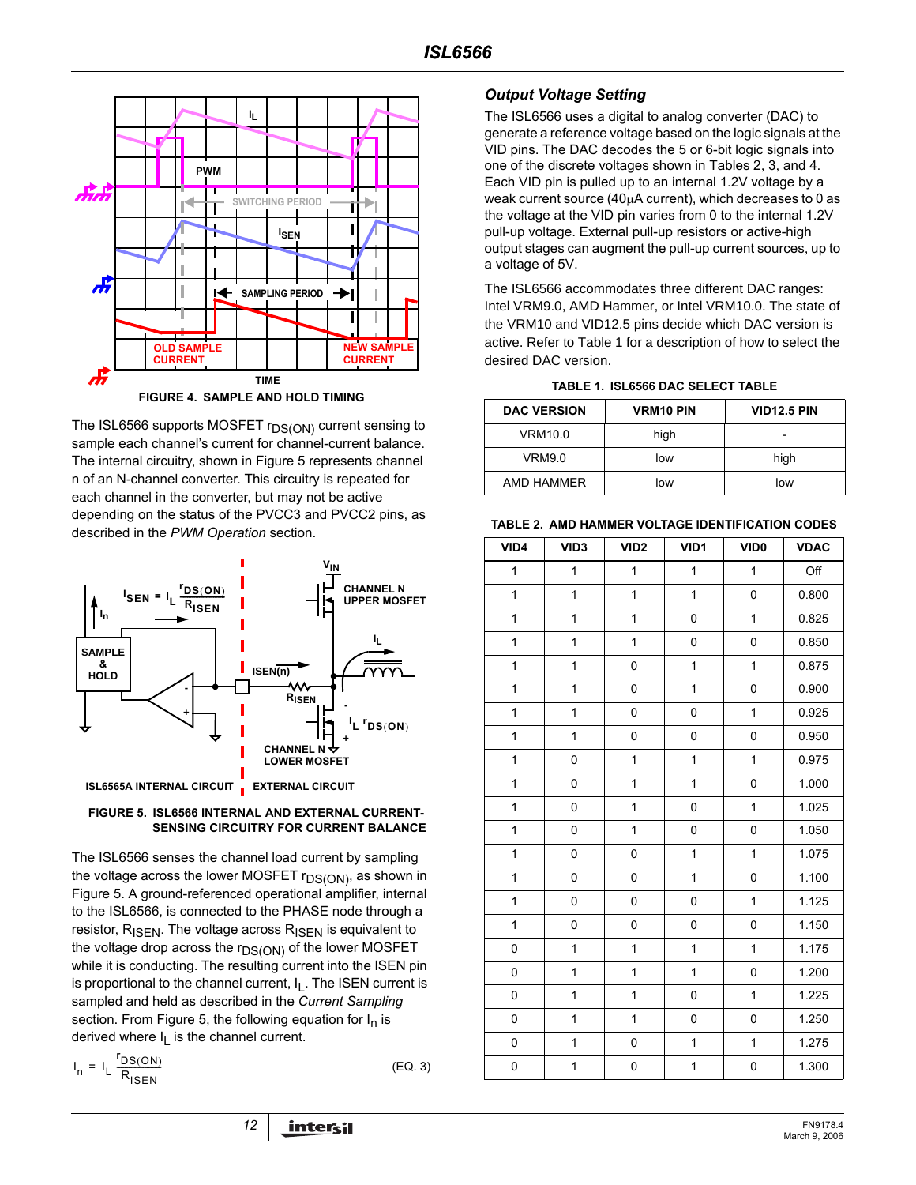

The ISL6566 supports MOSFET r<sub>DS(ON)</sub> current sensing to sample each channel's current for channel-current balance. The internal circuitry, shown in Figure 5 represents channel n of an N-channel converter. This circuitry is repeated for each channel in the converter, but may not be active depending on the status of the PVCC3 and PVCC2 pins, as described in the *PWM Operation* section.



#### **FIGURE 5. ISL6566 INTERNAL AND EXTERNAL CURRENT-SENSING CIRCUITRY FOR CURRENT BALANCE**

The ISL6566 senses the channel load current by sampling the voltage across the lower MOSFET r<sub>DS(ON)</sub>, as shown in Figure 5. A ground-referenced operational amplifier, internal to the ISL6566, is connected to the PHASE node through a resistor,  $R_{\text{ISEN}}$ . The voltage across  $R_{\text{ISEN}}$  is equivalent to the voltage drop across the  $r_{DS(ON)}$  of the lower MOSFET while it is conducting. The resulting current into the ISEN pin is proportional to the channel current,  $I_L$ . The ISEN current is sampled and held as described in the *Current Sampling* section. From Figure 5, the following equation for  $I_n$  is derived where  $I_L$  is the channel current.

$$
I_n = I_L \frac{I_{DS(ON)}}{R_{ISEN}}
$$
 (EQ. 3)

$$
(EQ. 3)
$$

### *Output Voltage Setting*

The ISL6566 uses a digital to analog converter (DAC) to generate a reference voltage based on the logic signals at the VID pins. The DAC decodes the 5 or 6-bit logic signals into one of the discrete voltages shown in Tables 2, 3, and 4. Each VID pin is pulled up to an internal 1.2V voltage by a weak current source (40µA current), which decreases to 0 as the voltage at the VID pin varies from 0 to the internal 1.2V pull-up voltage. External pull-up resistors or active-high output stages can augment the pull-up current sources, up to a voltage of 5V.

. The ISL6566 accommodates three different DAC ranges: Intel VRM9.0, AMD Hammer, or Intel VRM10.0. The state of the VRM10 and VID12.5 pins decide which DAC version is active. Refer to Table 1 for a description of how to select the desired DAC version.

**TABLE 1. ISL6566 DAC SELECT TABLE**

| <b>DAC VERSION</b> | <b>VRM10 PIN</b> | <b>VID12.5 PIN</b> |
|--------------------|------------------|--------------------|
| VRM10.0            | high             |                    |
| VRM9.0             | low              | high               |
| AMD HAMMER         | low              | low                |

**TABLE 2. AMD HAMMER VOLTAGE IDENTIFICATION CODES**

| VID4         | VID <sub>3</sub> | VID <sub>2</sub> | VID1         | VID <sub>0</sub> | <b>VDAC</b> |
|--------------|------------------|------------------|--------------|------------------|-------------|
| $\mathbf{1}$ | $\mathbf{1}$     | $\mathbf{1}$     | $\mathbf{1}$ | $\mathbf{1}$     | Off         |
| $\mathbf{1}$ | $\mathbf 1$      | $\mathbf{1}$     | $\mathbf 1$  | 0                | 0.800       |
| $\mathbf{1}$ | $\mathbf 1$      | $\mathbf{1}$     | 0            | $\mathbf 1$      | 0.825       |
| $\mathbf{1}$ | $\mathbf{1}$     | $\mathbf{1}$     | 0            | 0                | 0.850       |
| 1            | $\mathbf 1$      | 0                | $\mathbf 1$  | $\mathbf{1}$     | 0.875       |
| 1            | 1                | 0                | 1            | 0                | 0.900       |
| 1            | $\mathbf{1}$     | 0                | 0            | $\mathbf{1}$     | 0.925       |
| $\mathbf{1}$ | $\mathbf{1}$     | 0                | 0            | 0                | 0.950       |
| 1            | 0                | $\mathbf{1}$     | 1            | $\mathbf{1}$     | 0.975       |
| $\mathbf{1}$ | 0                | 1                | 1            | 0                | 1.000       |
| 1            | 0                | 1                | 0            | 1                | 1.025       |
| 1            | 0                | $\mathbf{1}$     | 0            | 0                | 1.050       |
| 1            | 0                | 0                | $\mathbf 1$  | $\mathbf{1}$     | 1.075       |
| $\mathbf{1}$ | 0                | 0                | 1            | 0                | 1.100       |
| 1            | 0                | 0                | 0            | 1                | 1.125       |
| $\mathbf 1$  | 0                | 0                | 0            | 0                | 1.150       |
| 0            | $\mathbf{1}$     | $\mathbf{1}$     | 1            | $\mathbf{1}$     | 1.175       |
| 0            | $\mathbf 1$      | $\mathbf{1}$     | 1            | 0                | 1.200       |
| 0            | 1                | $\mathbf{1}$     | 0            | $\mathbf{1}$     | 1.225       |
| $\mathbf 0$  | 1                | $\mathbf{1}$     | 0            | 0                | 1.250       |
| $\mathsf 0$  | $\mathbf 1$      | 0                | $\mathbf 1$  | $\mathbf{1}$     | 1.275       |
| $\pmb{0}$    | 1                | 0                | 1            | 0                | 1.300       |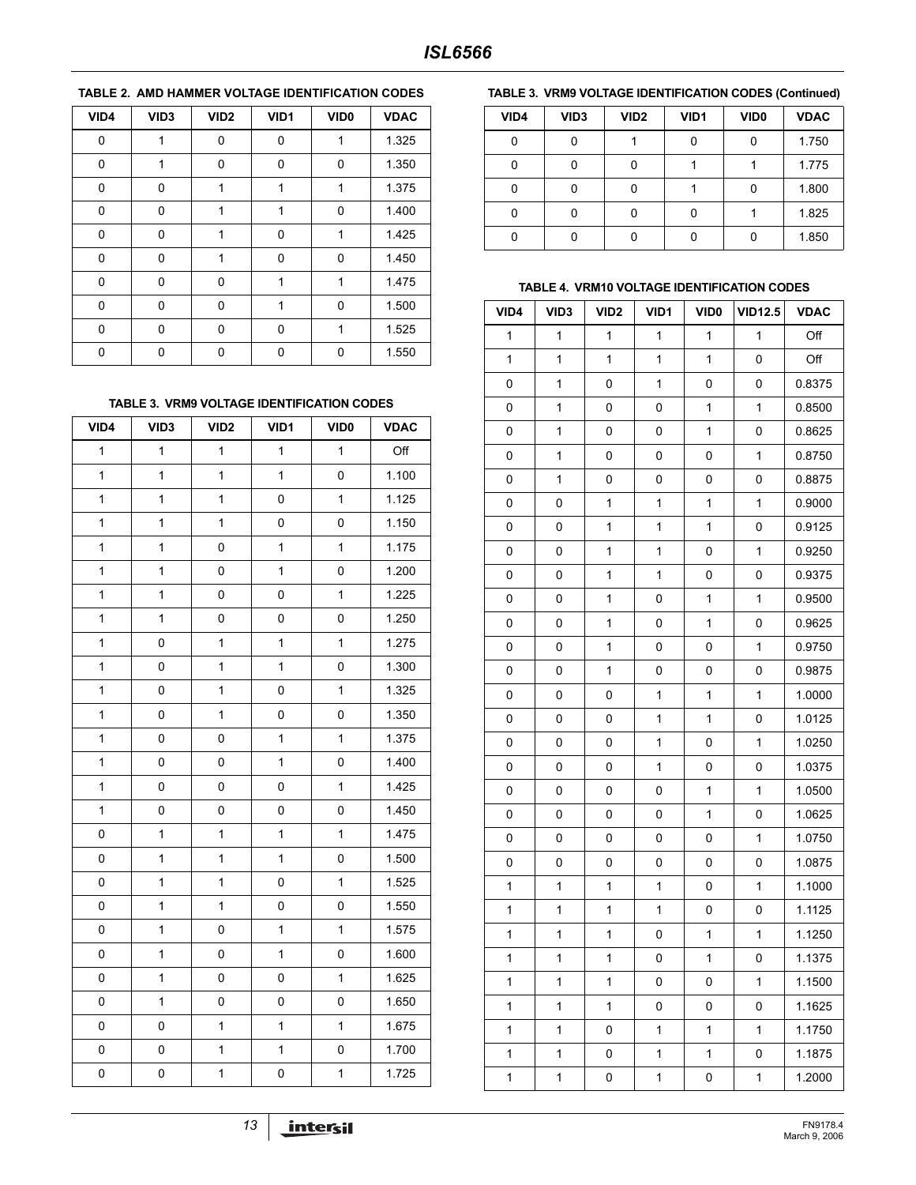# 0 1 0 0 1 1.325 0 1 0 0 0 1.350 0 0 1 1 1 1 1 1.375 0 0 1 1 1 0 1.400 0 0 1 0 1 1.425 0 0 1 0 0 1.450 0 0 0 1 1 1 1.475 0 0 0 1 0 1.500 0 0 0 0 1 1.525 0 0 0 0 0 1.550 **VID4 VID3 VID2 VID1 VID0 VDAC**

# **TABLE 2. AMD HAMMER VOLTAGE IDENTIFICATION CODES**

#### **TABLE 3. VRM9 VOLTAGE IDENTIFICATION CODES**

| VID4         | VID <sub>3</sub> | VID <sub>2</sub> | VID1         | VID <sub>0</sub> | <b>VDAC</b> |
|--------------|------------------|------------------|--------------|------------------|-------------|
| $\mathbf 1$  | $\mathbf 1$      | $\mathbf{1}$     | $\mathbf 1$  | $\mathbf 1$      | Off         |
| 1            | $\mathbf{1}$     | $\mathbf{1}$     | $\mathbf{1}$ | 0                | 1.100       |
| 1            | $\mathbf{1}$     | $\mathbf{1}$     | 0            | $\mathbf{1}$     | 1.125       |
| 1            | 1                | $\mathbf{1}$     | 0            | 0                | 1.150       |
| 1            | $\mathbf 1$      | 0                | $\mathbf{1}$ | $\mathbf{1}$     | 1.175       |
| 1            | $\mathbf{1}$     | 0                | $\mathbf{1}$ | 0                | 1.200       |
| 1            | $\mathbf{1}$     | 0                | 0            | $\mathbf{1}$     | 1.225       |
| 1            | $\mathbf 1$      | 0                | 0            | 0                | 1.250       |
| 1            | 0                | $\mathbf{1}$     | $\mathbf 1$  | $\mathbf 1$      | 1.275       |
| 1            | 0                | $\mathbf{1}$     | $\mathbf{1}$ | 0                | 1.300       |
| 1            | 0                | $\mathbf{1}$     | 0            | $\mathbf{1}$     | 1.325       |
| 1            | 0                | $\mathbf{1}$     | 0            | 0                | 1.350       |
| $\mathbf 1$  | 0                | 0                | $\mathbf{1}$ | $\mathbf 1$      | 1.375       |
| 1            | $\mathsf 0$      | 0                | $\mathbf{1}$ | $\mathsf 0$      | 1.400       |
| $\mathbf{1}$ | $\mathsf 0$      | 0                | 0            | $\mathbf 1$      | 1.425       |
| 1            | 0                | 0                | 0            | 0                | 1.450       |
| 0            | $\mathbf 1$      | $\mathbf{1}$     | $\mathbf{1}$ | $\mathbf 1$      | 1.475       |
| 0            | $\mathbf 1$      | $\mathbf{1}$     | $\mathbf{1}$ | 0                | 1.500       |
| 0            | $\mathbf{1}$     | $\mathbf{1}$     | 0            | $\mathbf{1}$     | 1.525       |
| 0            | 1                | $\mathbf{1}$     | 0            | 0                | 1.550       |
| 0            | $\mathbf 1$      | 0                | $\mathbf{1}$ | $\mathbf{1}$     | 1.575       |
| 0            | $\mathbf{1}$     | 0                | $\mathbf{1}$ | 0                | 1.600       |
| 0            | $\mathbf{1}$     | 0                | 0            | $\mathbf 1$      | 1.625       |
| 0            | 1                | 0                | 0            | 0                | 1.650       |
| 0            | 0                | $\mathbf{1}$     | $\mathbf{1}$ | $\mathbf{1}$     | 1.675       |
| 0            | 0                | $\mathbf{1}$     | $\mathbf{1}$ | 0                | 1.700       |
| $\mathsf 0$  | $\pmb{0}$        | $\mathbf{1}$     | 0            | $\mathbf 1$      | 1.725       |

#### **TABLE 3. VRM9 VOLTAGE IDENTIFICATION CODES (Continued)**

| VID4     | VID <sub>3</sub> | VID <sub>2</sub> | VID <sub>1</sub> | VID <sub>0</sub> | <b>VDAC</b> |
|----------|------------------|------------------|------------------|------------------|-------------|
| $\Omega$ | O                |                  | n                | n                | 1.750       |
| 0        | O                | n                |                  |                  | 1.775       |
| 0        | O                | ∩                |                  |                  | 1.800       |
| 0        | O                |                  |                  |                  | 1.825       |
| 0        | ŋ                |                  |                  |                  | 1.850       |

#### **TABLE 4. VRM10 VOLTAGE IDENTIFICATION CODES**

| VID4         | VID <sub>3</sub> | VID <sub>2</sub> | VID1         | VID <sub>0</sub> | <b>VID12.5</b> | <b>VDAC</b> |
|--------------|------------------|------------------|--------------|------------------|----------------|-------------|
| $\mathbf{1}$ | $\mathbf{1}$     | $\mathbf{1}$     | $\mathbf{1}$ | $\mathbf{1}$     | $\mathbf{1}$   | Off         |
| $\mathbf{1}$ | 1                | 1                | 1            | $\mathbf{1}$     | 0              | Off         |
| 0            | 1                | 0                | 1            | 0                | 0              | 0.8375      |
| 0            | 1                | 0                | 0            | $\mathbf{1}$     | $\mathbf{1}$   | 0.8500      |
| 0            | 1                | 0                | 0            | 1                | 0              | 0.8625      |
| 0            | 1                | 0                | 0            | 0                | $\mathbf{1}$   | 0.8750      |
| 0            | 1                | 0                | 0            | 0                | 0              | 0.8875      |
| 0            | 0                | 1                | 1            | 1                | $\mathbf{1}$   | 0.9000      |
| 0            | 0                | 1                | 1            | 1                | 0              | 0.9125      |
| 0            | 0                | 1                | 1            | 0                | $\mathbf{1}$   | 0.9250      |
| 0            | 0                | 1                | 1            | 0                | 0              | 0.9375      |
| 0            | 0                | 1                | 0            | $\mathbf{1}$     | $\mathbf{1}$   | 0.9500      |
| 0            | 0                | 1                | 0            | 1                | 0              | 0.9625      |
| 0            | 0                | 1                | 0            | $\mathsf 0$      | $\mathbf{1}$   | 0.9750      |
| 0            | 0                | 1                | 0            | 0                | 0              | 0.9875      |
| 0            | 0                | 0                | 1            | 1                | $\mathbf{1}$   | 1.0000      |
| 0            | 0                | 0                | 1            | 1                | 0              | 1.0125      |
| 0            | 0                | 0                | 1            | 0                | $\mathbf{1}$   | 1.0250      |
| 0            | 0                | 0                | 1            | 0                | 0              | 1.0375      |
| 0            | 0                | 0                | 0            | 1                | $\mathbf{1}$   | 1.0500      |
| 0            | 0                | 0                | 0            | $\mathbf{1}$     | 0              | 1.0625      |
| 0            | 0                | 0                | 0            | 0                | $\mathbf{1}$   | 1.0750      |
| 0            | 0                | 0                | 0            | 0                | 0              | 1.0875      |
| $\mathbf 1$  | 1                | 1                | 1            | 0                | $\mathbf{1}$   | 1.1000      |
| $\mathbf{1}$ | 1                | 1                | 1            | 0                | 0              | 1.1125      |
| $\mathbf{1}$ | 1                | 1                | 0            | 1                | 1              | 1.1250      |
| $\mathbf{1}$ | 1                | 1                | 0            | $\mathbf 1$      | 0              | 1.1375      |
| 1            | 1                | 1                | 0            | 0                | 1              | 1.1500      |
| 1            | 1                | 1                | 0            | 0                | 0              | 1.1625      |
| 1            | 1                | 0                | 1            | 1                | 1              | 1.1750      |
| 1            | 1                | 0                | 1            | 1                | 0              | 1.1875      |
| 1            | 1                | 0                | $\mathbf 1$  | 0                | 1              | 1.2000      |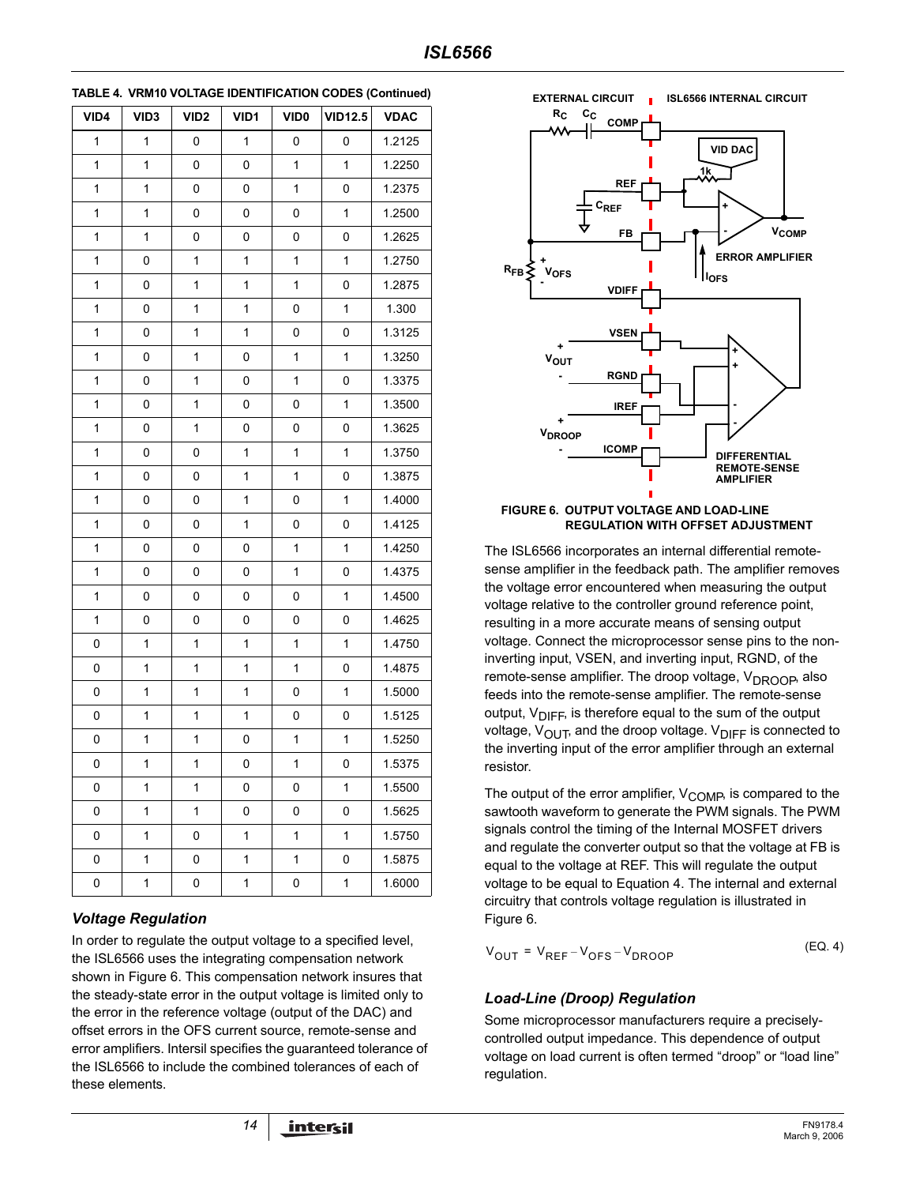| VID4        | VID <sub>3</sub> | VID <sub>2</sub> | VID1        | VID <sub>0</sub> | <b>VID12.5</b> | <b>VDAC</b> |
|-------------|------------------|------------------|-------------|------------------|----------------|-------------|
| 1           | 1                | 0                | 1           | 0                | 0              | 1.2125      |
| 1           | 1                | 0                | 0           | 1                | 1              | 1.2250      |
| 1           | $\mathbf 1$      | $\mathsf 0$      | 0           | 1                | 0              | 1.2375      |
| 1           | 1                | 0                | 0           | 0                | 1              | 1.2500      |
| 1           | 1                | 0                | 0           | 0                | 0              | 1.2625      |
| 1           | 0                | $\mathbf 1$      | $\mathbf 1$ | 1                | 1              | 1.2750      |
| 1           | 0                | 1                | 1           | 1                | 0              | 1.2875      |
| 1           | 0                | 1                | $\mathbf 1$ | 0                | 1              | 1.300       |
| 1           | 0                | $\mathbf 1$      | $\mathbf 1$ | 0                | 0              | 1.3125      |
| 1           | 0                | 1                | 0           | 1                | 1              | 1.3250      |
| 1           | 0                | 1                | 0           | 1                | 0              | 1.3375      |
| 1           | 0                | $\mathbf 1$      | 0           | 0                | 1              | 1.3500      |
| 1           | 0                | 1                | 0           | 0                | 0              | 1.3625      |
| 1           | 0                | 0                | $\mathbf 1$ | 1                | 1              | 1.3750      |
| 1           | 0                | $\mathsf 0$      | $\mathbf 1$ | 1                | 0              | 1.3875      |
| 1           | 0                | 0                | 1           | 0                | 1              | 1.4000      |
| 1           | 0                | 0                | $\mathbf 1$ | 0                | 0              | 1.4125      |
| 1           | 0                | $\mathsf 0$      | 0           | 1                | 1              | 1.4250      |
| 1           | 0                | 0                | 0           | 1                | 0              | 1.4375      |
| 1           | 0                | 0                | 0           | 0                | 1              | 1.4500      |
| $\mathbf 1$ | 0                | $\mathsf 0$      | 0           | 0                | 0              | 1.4625      |
| 0           | 1                | 1                | 1           | 1                | 1              | 1.4750      |
| 0           | 1                | 1                | 1           | $\mathbf 1$      | 0              | 1.4875      |
| 0           | $\mathbf 1$      | $\mathbf 1$      | $\mathbf 1$ | 0                | 1              | 1.5000      |
| 0           | 1                | 1                | 1           | 0                | 0              | 1.5125      |
| 0           | 1                | 1                | 0           | 1                | 1              | 1.5250      |
| 0           | $\mathbf{1}$     | 1                | 0           | $\mathbf 1$      | 0              | 1.5375      |
| 0           | 1                | 1                | 0           | 0                | 1              | 1.5500      |
| 0           | 1                | 1                | 0           | 0                | 0              | 1.5625      |
| 0           | 1                | 0                | 1           | 1                | 1              | 1.5750      |
| 0           | 1                | 0                | 1           | 1                | 0              | 1.5875      |
| 0           | 1                | 0                | 1           | 0                | 1              | 1.6000      |

**TABLE 4. VRM10 VOLTAGE IDENTIFICATION CODES (Continued)**

# *Voltage Regulation*

In order to regulate the output voltage to a specified level, the ISL6566 uses the integrating compensation network shown in Figure 6. This compensation network insures that the steady-state error in the output voltage is limited only to the error in the reference voltage (output of the DAC) and offset errors in the OFS current source, remote-sense and error amplifiers. Intersil specifies the guaranteed tolerance of the ISL6566 to include the combined tolerances of each of these elements.



#### **FIGURE 6. OUTPUT VOLTAGE AND LOAD-LINE REGULATION WITH OFFSET ADJUSTMENT**

The ISL6566 incorporates an internal differential remotesense amplifier in the feedback path. The amplifier removes the voltage error encountered when measuring the output voltage relative to the controller ground reference point, resulting in a more accurate means of sensing output voltage. Connect the microprocessor sense pins to the noninverting input, VSEN, and inverting input, RGND, of the remote-sense amplifier. The droop voltage,  $V_{DROOB}$ , also feeds into the remote-sense amplifier. The remote-sense output,  $V_{\text{DIFF}}$ , is therefore equal to the sum of the output voltage,  $V_{\text{OUT}}$ , and the droop voltage.  $V_{\text{DIFF}}$  is connected to the inverting input of the error amplifier through an external resistor.

The output of the error amplifier,  $V_{\text{COMP}}$ , is compared to the sawtooth waveform to generate the PWM signals. The PWM signals control the timing of the Internal MOSFET drivers and regulate the converter output so that the voltage at FB is equal to the voltage at REF. This will regulate the output voltage to be equal to Equation 4. The internal and external circuitry that controls voltage regulation is illustrated in Figure 6.

 $V_{\text{OUT}} = V_{\text{RFE}} - V_{\text{OFS}} - V_{\text{DROOP}}$  (EQ. 4)

# *Load-Line (Droop) Regulation*

Some microprocessor manufacturers require a preciselycontrolled output impedance. This dependence of output voltage on load current is often termed "droop" or "load line" regulation.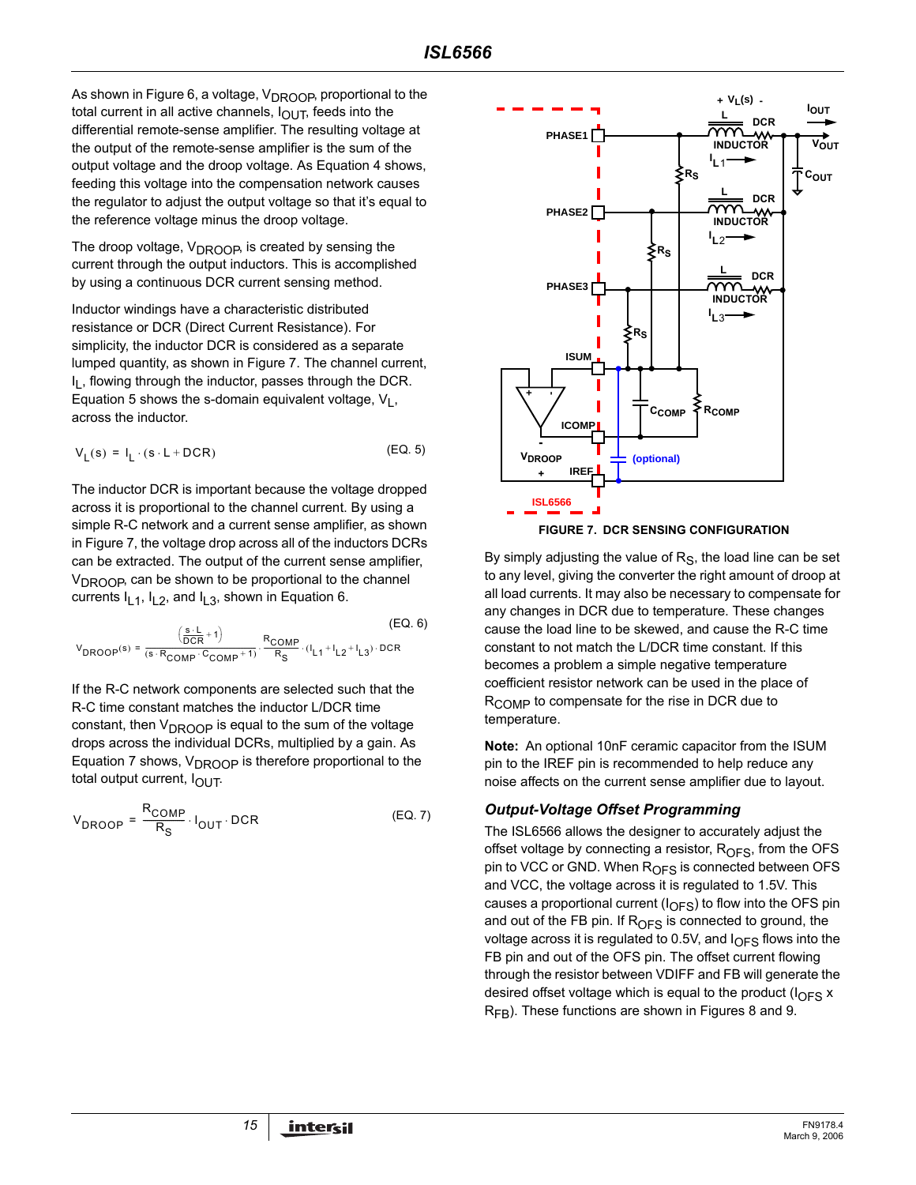As shown in Figure 6, a voltage,  $V_{\text{DROOP}}$ , proportional to the total current in all active channels,  $I_{\text{OUT}}$ , feeds into the differential remote-sense amplifier. The resulting voltage at the output of the remote-sense amplifier is the sum of the output voltage and the droop voltage. As Equation 4 shows, feeding this voltage into the compensation network causes the regulator to adjust the output voltage so that it's equal to the reference voltage minus the droop voltage.

The droop voltage,  $V_{DROOP}$ , is created by sensing the current through the output inductors. This is accomplished by using a continuous DCR current sensing method.

Inductor windings have a characteristic distributed resistance or DCR (Direct Current Resistance). For simplicity, the inductor DCR is considered as a separate lumped quantity, as shown in Figure 7. The channel current,  $I<sub>l</sub>$ , flowing through the inductor, passes through the DCR. Equation 5 shows the s-domain equivalent voltage,  $V_1$ , across the inductor.

$$
V_{L}(s) = I_{L} \cdot (s \cdot L + DCR) \tag{Eq. 5}
$$

The inductor DCR is important because the voltage dropped across it is proportional to the channel current. By using a simple R-C network and a current sense amplifier, as shown in Figure 7, the voltage drop across all of the inductors DCRs can be extracted. The output of the current sense amplifier,  $V_{\text{DROOP}}$ , can be shown to be proportional to the channel currents  $I_{L1}$ ,  $I_{L2}$ , and  $I_{L3}$ , shown in Equation 6.

$$
V_{DROOP}(s) = \frac{\left(\frac{s \cdot L}{DCR} + 1\right)}{(s \cdot R_{COMP} \cdot C_{COMP} + 1)} \cdot \frac{R_{COMP}}{R_S} \cdot (I_{L1} + I_{L2} + I_{L3}) \cdot DCR
$$
 (EQ. 6)

If the R-C network components are selected such that the R-C time constant matches the inductor L/DCR time constant, then  $V_{DROOP}$  is equal to the sum of the voltage drops across the individual DCRs, multiplied by a gain. As Equation 7 shows,  $V_{DROOP}$  is therefore proportional to the total output current,  $I_{\text{OUT}}$ .

$$
V_{DROOP} = \frac{R_{COMP}}{R_S} \cdot I_{OUT} \cdot DCR
$$
 (EQ. 7)



By simply adjusting the value of  $R<sub>S</sub>$ , the load line can be set to any level, giving the converter the right amount of droop at all load currents. It may also be necessary to compensate for any changes in DCR due to temperature. These changes cause the load line to be skewed, and cause the R-C time constant to not match the L/DCR time constant. If this becomes a problem a simple negative temperature coefficient resistor network can be used in the place of  $R_{\text{COMP}}$  to compensate for the rise in DCR due to temperature.

**Note:** An optional 10nF ceramic capacitor from the ISUM pin to the IREF pin is recommended to help reduce any noise affects on the current sense amplifier due to layout.

### *Output-Voltage Offset Programming*

The ISL6566 allows the designer to accurately adjust the offset voltage by connecting a resistor,  $R<sub>OFS</sub>$ , from the OFS pin to VCC or GND. When  $R<sub>OFS</sub>$  is connected between OFS and VCC, the voltage across it is regulated to 1.5V. This causes a proportional current  $(I_{\text{OFS}})$  to flow into the OFS pin and out of the FB pin. If  $R<sub>OFS</sub>$  is connected to ground, the voltage across it is regulated to 0.5V, and  $I_{\text{OFS}}$  flows into the FB pin and out of the OFS pin. The offset current flowing through the resistor between VDIFF and FB will generate the desired offset voltage which is equal to the product ( $I_{OFS}$  x  $R_{FB}$ ). These functions are shown in Figures 8 and 9.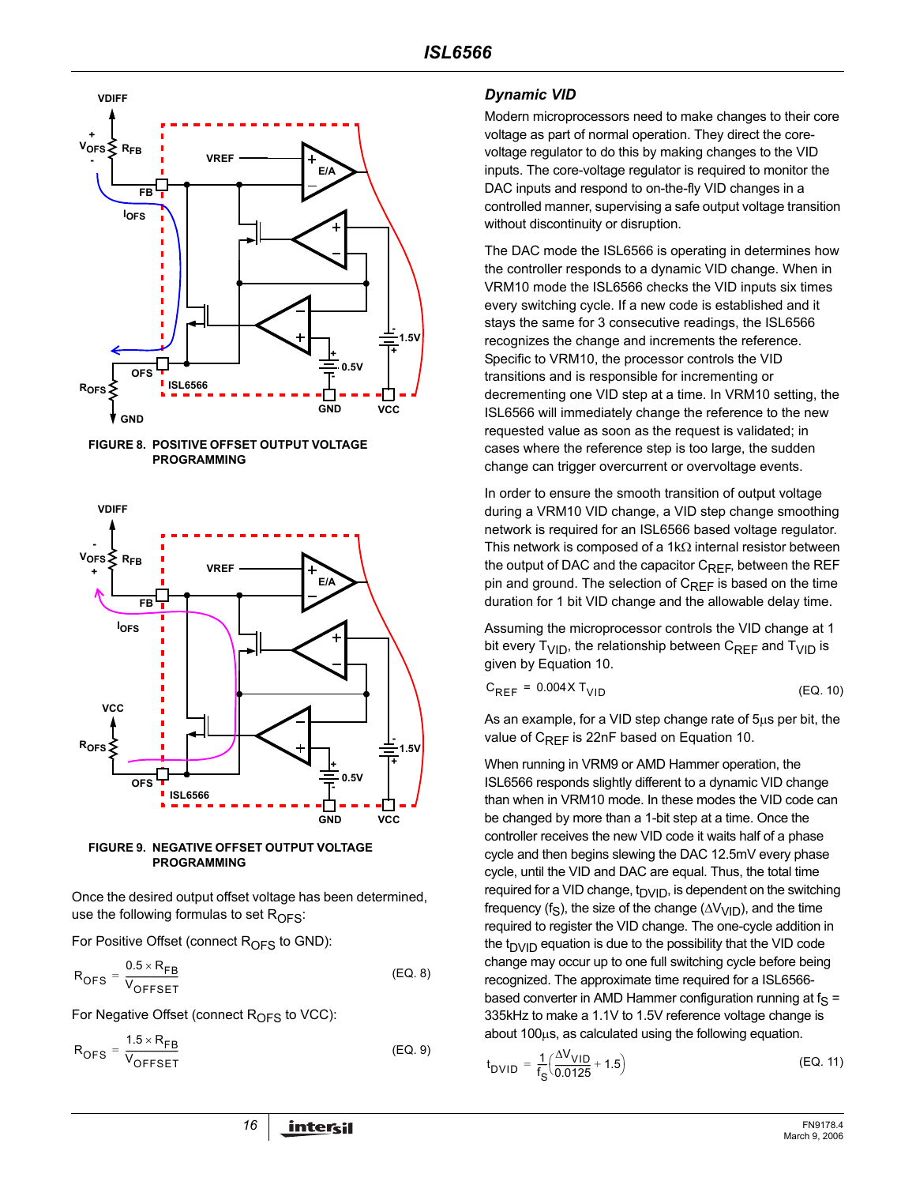







Once the desired output offset voltage has been determined, use the following formulas to set  $R_{\text{OFS}}$ :

For Positive Offset (connect  $R_{\text{OFS}}$  to GND):

$$
R_{OFS} = \frac{0.5 \times R_{FB}}{V_{OFFSET}}
$$
 (EQ. 8)

For Negative Offset (connect  $R<sub>OFS</sub>$  to VCC):

$$
R_{\text{OFS}} = \frac{1.5 \times R_{\text{FB}}}{V_{\text{OFFSET}}}
$$
 (EQ. 9)

### *Dynamic VID*

Modern microprocessors need to make changes to their core voltage as part of normal operation. They direct the corevoltage regulator to do this by making changes to the VID inputs. The core-voltage regulator is required to monitor the DAC inputs and respond to on-the-fly VID changes in a controlled manner, supervising a safe output voltage transition without discontinuity or disruption.

The DAC mode the ISL6566 is operating in determines how the controller responds to a dynamic VID change. When in VRM10 mode the ISL6566 checks the VID inputs six times every switching cycle. If a new code is established and it stays the same for 3 consecutive readings, the ISL6566 recognizes the change and increments the reference. Specific to VRM10, the processor controls the VID transitions and is responsible for incrementing or decrementing one VID step at a time. In VRM10 setting, the ISL6566 will immediately change the reference to the new requested value as soon as the request is validated; in cases where the reference step is too large, the sudden change can trigger overcurrent or overvoltage events.

In order to ensure the smooth transition of output voltage during a VRM10 VID change, a VID step change smoothing network is required for an ISL6566 based voltage regulator. This network is composed of a 1k $\Omega$  internal resistor between the output of DAC and the capacitor C<sub>REF</sub>, between the REF pin and ground. The selection of  $C_{REF}$  is based on the time duration for 1 bit VID change and the allowable delay time.

Assuming the microprocessor controls the VID change at 1 bit every  $T_{\text{VID}}$ , the relationship between  $C_{\text{RFF}}$  and  $T_{\text{VID}}$  is given by Equation 10.

$$
C_{REF} = 0.004 \times T_{VID} \tag{Eq. 10}
$$

As an example, for a VID step change rate of 5µs per bit, the value of  $C_{RFF}$  is 22nF based on Equation 10.

When running in VRM9 or AMD Hammer operation, the ISL6566 responds slightly different to a dynamic VID change than when in VRM10 mode. In these modes the VID code can be changed by more than a 1-bit step at a time. Once the controller receives the new VID code it waits half of a phase cycle and then begins slewing the DAC 12.5mV every phase cycle, until the VID and DAC are equal. Thus, the total time required for a VID change,  $t<sub>DVID</sub>$ , is dependent on the switching frequency (f<sub>S</sub>), the size of the change ( $\Delta V_{VID}$ ), and the time required to register the VID change. The one-cycle addition in the  $t_{D}$ <sub>ID</sub> equation is due to the possibility that the VID code change may occur up to one full switching cycle before being recognized. The approximate time required for a ISL6566 based converter in AMD Hammer configuration running at  $f_S =$ 335kHz to make a 1.1V to 1.5V reference voltage change is about 100µs, as calculated using the following equation.

$$
t_{DVID} = \frac{1}{f_S} \left( \frac{\Delta V_{VID}}{0.0125} + 1.5 \right)
$$
 (EQ. 11)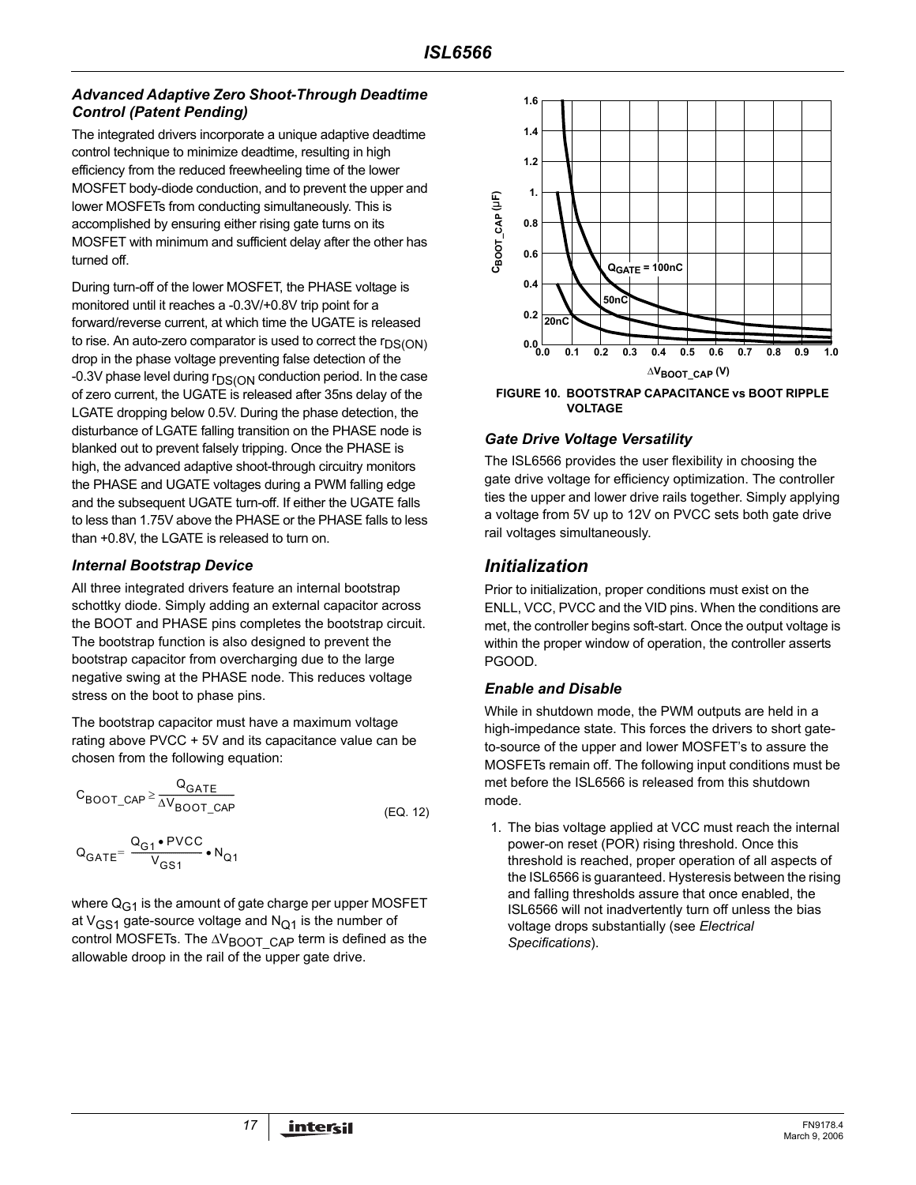### *Advanced Adaptive Zero Shoot-Through Deadtime Control (Patent Pending)*

The integrated drivers incorporate a unique adaptive deadtime control technique to minimize deadtime, resulting in high efficiency from the reduced freewheeling time of the lower MOSFET body-diode conduction, and to prevent the upper and lower MOSFETs from conducting simultaneously. This is accomplished by ensuring either rising gate turns on its MOSFET with minimum and sufficient delay after the other has turned off.

During turn-off of the lower MOSFET, the PHASE voltage is monitored until it reaches a -0.3V/+0.8V trip point for a forward/reverse current, at which time the UGATE is released to rise. An auto-zero comparator is used to correct the  $r_{DS(ON)}$ drop in the phase voltage preventing false detection of the -0.3V phase level during  $r_{DS(ON)}$  conduction period. In the case of zero current, the UGATE is released after 35ns delay of the LGATE dropping below 0.5V. During the phase detection, the disturbance of LGATE falling transition on the PHASE node is blanked out to prevent falsely tripping. Once the PHASE is high, the advanced adaptive shoot-through circuitry monitors the PHASE and UGATE voltages during a PWM falling edge and the subsequent UGATE turn-off. If either the UGATE falls to less than 1.75V above the PHASE or the PHASE falls to less than +0.8V, the LGATE is released to turn on.

### *Internal Bootstrap Device*

All three integrated drivers feature an internal bootstrap schottky diode. Simply adding an external capacitor across the BOOT and PHASE pins completes the bootstrap circuit. The bootstrap function is also designed to prevent the bootstrap capacitor from overcharging due to the large negative swing at the PHASE node. This reduces voltage stress on the boot to phase pins.

The bootstrap capacitor must have a maximum voltage rating above PVCC + 5V and its capacitance value can be chosen from the following equation:

$$
C_{\text{BOOT\_CAP}} \ge \frac{Q_{\text{GATE}}}{\Delta V_{\text{BOOT\_CAP}}}
$$
 (EQ. 12)

$$
\mathsf{Q}_{\mathsf{GATE}}{=}\frac{\mathsf{Q}_{\mathsf{G1}}{\bullet}\mathsf{PVCC}}{\mathsf{V}_{\mathsf{GS1}}}\bullet\mathsf{N}_{\mathsf{Q1}}
$$

where  $Q_{G1}$  is the amount of gate charge per upper MOSFET at  $V_{GS1}$  gate-source voltage and  $N_{Q1}$  is the number of control MOSFETs. The  $\Delta V_{\text{BNOT}}$  CAP term is defined as the allowable droop in the rail of the upper gate drive.



**VOLTAGE**

# *Gate Drive Voltage Versatility*

The ISL6566 provides the user flexibility in choosing the gate drive voltage for efficiency optimization. The controller ties the upper and lower drive rails together. Simply applying a voltage from 5V up to 12V on PVCC sets both gate drive rail voltages simultaneously.

# *Initialization*

Prior to initialization, proper conditions must exist on the ENLL, VCC, PVCC and the VID pins. When the conditions are met, the controller begins soft-start. Once the output voltage is within the proper window of operation, the controller asserts PGOOD.

### *Enable and Disable*

While in shutdown mode, the PWM outputs are held in a high-impedance state. This forces the drivers to short gateto-source of the upper and lower MOSFET's to assure the MOSFETs remain off. The following input conditions must be met before the ISL6566 is released from this shutdown mode.

1. The bias voltage applied at VCC must reach the internal power-on reset (POR) rising threshold. Once this threshold is reached, proper operation of all aspects of the ISL6566 is guaranteed. Hysteresis between the rising and falling thresholds assure that once enabled, the ISL6566 will not inadvertently turn off unless the bias voltage drops substantially (see *Electrical Specifications*).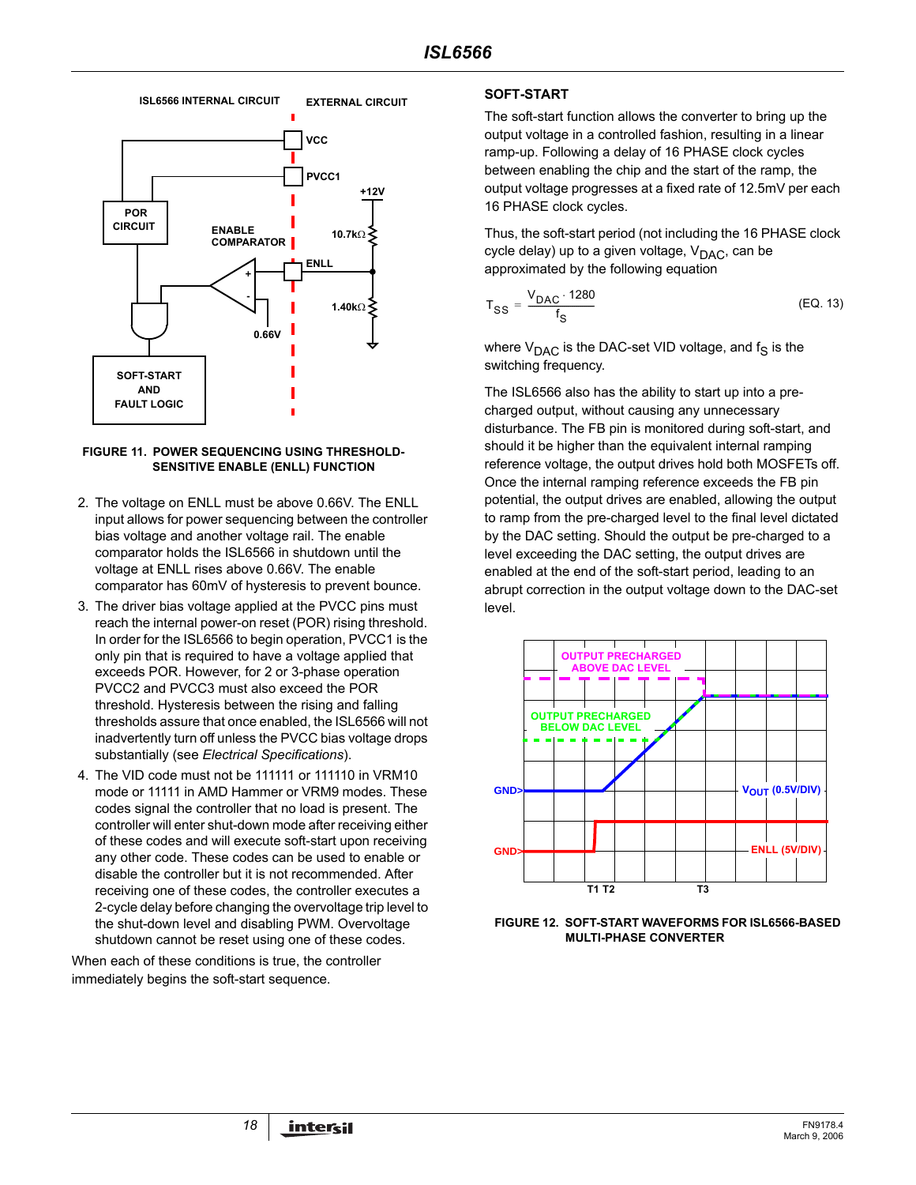

#### **FIGURE 11. POWER SEQUENCING USING THRESHOLD-SENSITIVE ENABLE (ENLL) FUNCTION**

- 2. The voltage on ENLL must be above 0.66V. The ENLL input allows for power sequencing between the controller bias voltage and another voltage rail. The enable comparator holds the ISL6566 in shutdown until the voltage at ENLL rises above 0.66V. The enable comparator has 60mV of hysteresis to prevent bounce.
- 3. The driver bias voltage applied at the PVCC pins must reach the internal power-on reset (POR) rising threshold. In order for the ISL6566 to begin operation, PVCC1 is the only pin that is required to have a voltage applied that exceeds POR. However, for 2 or 3-phase operation PVCC2 and PVCC3 must also exceed the POR threshold. Hysteresis between the rising and falling thresholds assure that once enabled, the ISL6566 will not inadvertently turn off unless the PVCC bias voltage drops substantially (see *Electrical Specifications*).
- 4. The VID code must not be 111111 or 111110 in VRM10 mode or 11111 in AMD Hammer or VRM9 modes. These codes signal the controller that no load is present. The controller will enter shut-down mode after receiving either of these codes and will execute soft-start upon receiving any other code. These codes can be used to enable or disable the controller but it is not recommended. After receiving one of these codes, the controller executes a 2-cycle delay before changing the overvoltage trip level to the shut-down level and disabling PWM. Overvoltage shutdown cannot be reset using one of these codes.

When each of these conditions is true, the controller immediately begins the soft-start sequence.

### **SOFT-START**

The soft-start function allows the converter to bring up the output voltage in a controlled fashion, resulting in a linear ramp-up. Following a delay of 16 PHASE clock cycles between enabling the chip and the start of the ramp, the output voltage progresses at a fixed rate of 12.5mV per each 16 PHASE clock cycles.

Thus, the soft-start period (not including the 16 PHASE clock cycle delay) up to a given voltage,  $V_{\text{DAC}}$ , can be approximated by the following equation

$$
T_{SS} = \frac{V_{DAC} \cdot 1280}{f_S} \tag{EQ.13}
$$

where  $V_{\text{DAC}}$  is the DAC-set VID voltage, and  $f_S$  is the switching frequency.

The ISL6566 also has the ability to start up into a precharged output, without causing any unnecessary disturbance. The FB pin is monitored during soft-start, and should it be higher than the equivalent internal ramping reference voltage, the output drives hold both MOSFETs off. Once the internal ramping reference exceeds the FB pin potential, the output drives are enabled, allowing the output to ramp from the pre-charged level to the final level dictated by the DAC setting. Should the output be pre-charged to a level exceeding the DAC setting, the output drives are enabled at the end of the soft-start period, leading to an abrupt correction in the output voltage down to the DAC-set level.



**FIGURE 12. SOFT-START WAVEFORMS FOR ISL6566-BASED MULTI-PHASE CONVERTER**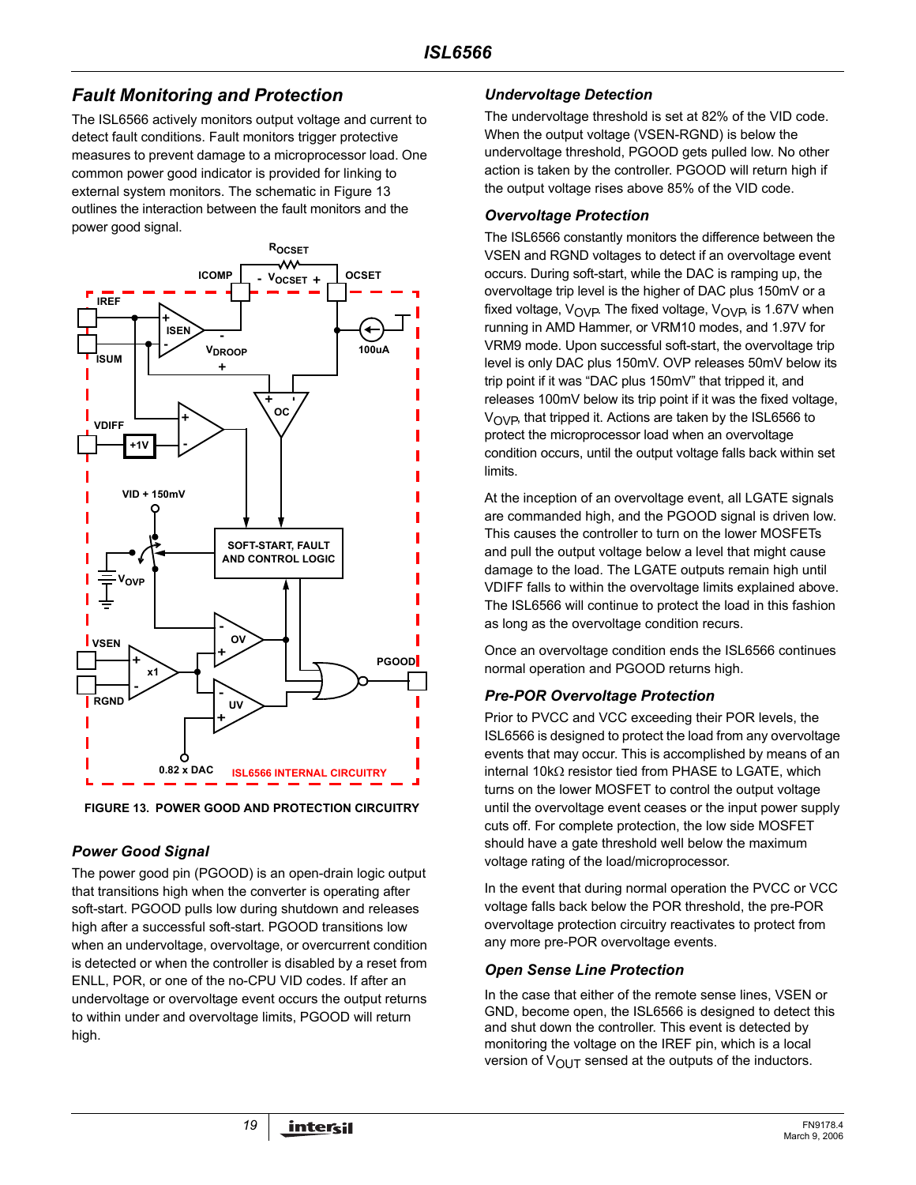# *Fault Monitoring and Protection*

The ISL6566 actively monitors output voltage and current to detect fault conditions. Fault monitors trigger protective measures to prevent damage to a microprocessor load. One common power good indicator is provided for linking to external system monitors. The schematic in Figure [13](#page-18-0) outlines the interaction between the fault monitors and the power good signal.



<span id="page-18-0"></span>**FIGURE 13. POWER GOOD AND PROTECTION CIRCUITRY**

# *Power Good Signal*

The power good pin (PGOOD) is an open-drain logic output that transitions high when the converter is operating after soft-start. PGOOD pulls low during shutdown and releases high after a successful soft-start. PGOOD transitions low when an undervoltage, overvoltage, or overcurrent condition is detected or when the controller is disabled by a reset from ENLL, POR, or one of the no-CPU VID codes. If after an undervoltage or overvoltage event occurs the output returns to within under and overvoltage limits, PGOOD will return high.

# *Undervoltage Detection*

The undervoltage threshold is set at 82% of the VID code. When the output voltage (VSEN-RGND) is below the undervoltage threshold, PGOOD gets pulled low. No other action is taken by the controller. PGOOD will return high if the output voltage rises above 85% of the VID code.

### *Overvoltage Protection*

The ISL6566 constantly monitors the difference between the VSEN and RGND voltages to detect if an overvoltage event occurs. During soft-start, while the DAC is ramping up, the overvoltage trip level is the higher of DAC plus 150mV or a fixed voltage,  $V_{\text{OVP}}$ . The fixed voltage,  $V_{\text{OVP}}$  is 1.67V when running in AMD Hammer, or VRM10 modes, and 1.97V for VRM9 mode. Upon successful soft-start, the overvoltage trip level is only DAC plus 150mV. OVP releases 50mV below its trip point if it was "DAC plus 150mV" that tripped it, and releases 100mV below its trip point if it was the fixed voltage,  $V_{\text{OVP}}$ , that tripped it. Actions are taken by the ISL6566 to protect the microprocessor load when an overvoltage condition occurs, until the output voltage falls back within set limits.

At the inception of an overvoltage event, all LGATE signals are commanded high, and the PGOOD signal is driven low. This causes the controller to turn on the lower MOSFETs and pull the output voltage below a level that might cause damage to the load. The LGATE outputs remain high until VDIFF falls to within the overvoltage limits explained above. The ISL6566 will continue to protect the load in this fashion as long as the overvoltage condition recurs.

Once an overvoltage condition ends the ISL6566 continues normal operation and PGOOD returns high.

# *Pre-POR Overvoltage Protection*

Prior to PVCC and VCC exceeding their POR levels, the ISL6566 is designed to protect the load from any overvoltage events that may occur. This is accomplished by means of an internal 10kΩ resistor tied from PHASE to LGATE, which turns on the lower MOSFET to control the output voltage until the overvoltage event ceases or the input power supply cuts off. For complete protection, the low side MOSFET should have a gate threshold well below the maximum voltage rating of the load/microprocessor.

In the event that during normal operation the PVCC or VCC voltage falls back below the POR threshold, the pre-POR overvoltage protection circuitry reactivates to protect from any more pre-POR overvoltage events.

# *Open Sense Line Protection*

In the case that either of the remote sense lines, VSEN or GND, become open, the ISL6566 is designed to detect this and shut down the controller. This event is detected by monitoring the voltage on the IREF pin, which is a local version of  $V_{\text{OUT}}$  sensed at the outputs of the inductors.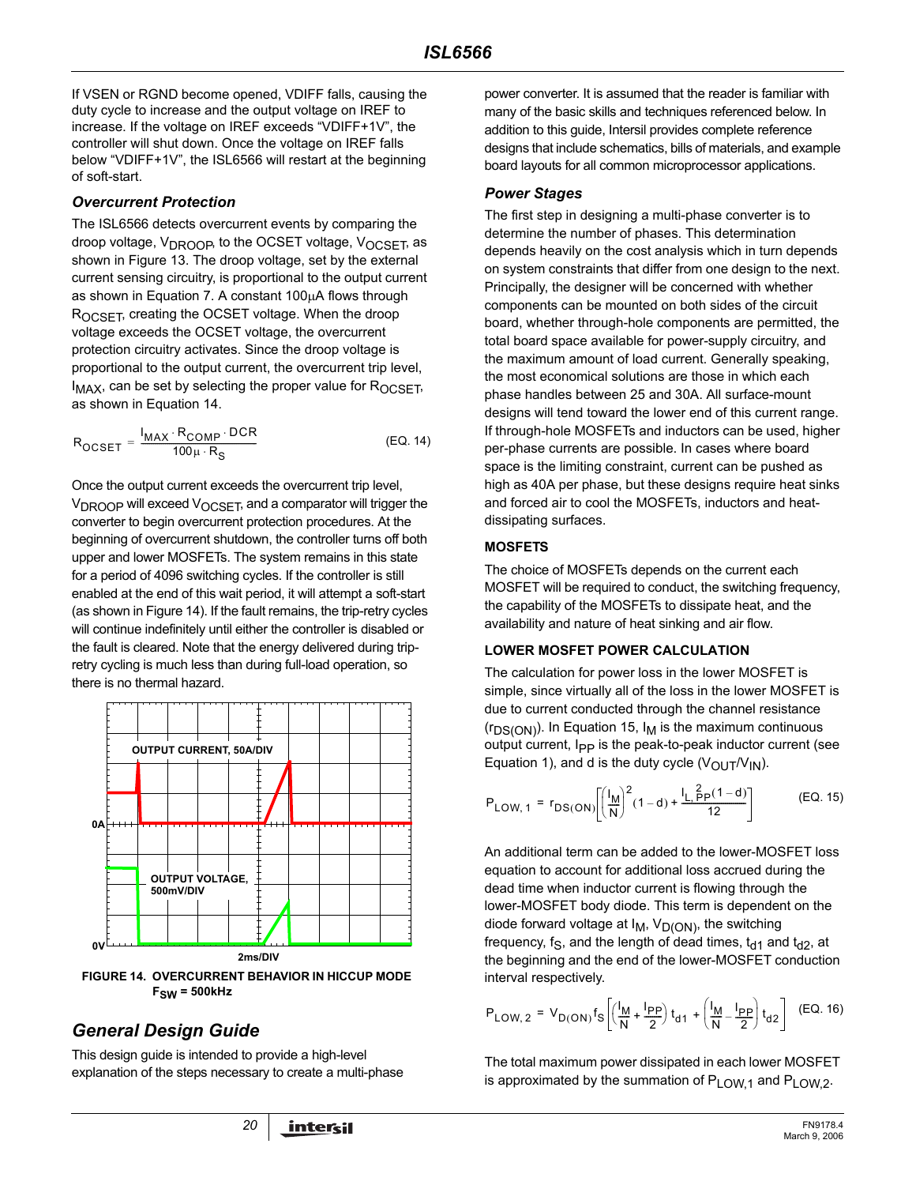If VSEN or RGND become opened, VDIFF falls, causing the duty cycle to increase and the output voltage on IREF to increase. If the voltage on IREF exceeds "VDIFF+1V", the controller will shut down. Once the voltage on IREF falls below "VDIFF+1V", the ISL6566 will restart at the beginning of soft-start.

### *Overcurrent Protection*

The ISL6566 detects overcurrent events by comparing the droop voltage, V<sub>DROOP</sub>, to the OCSET voltage, V<sub>OCSET</sub>, as shown in Figure 13. The droop voltage, set by the external current sensing circuitry, is proportional to the output current as shown in Equation 7. A constant 100µA flows through ROCSET, creating the OCSET voltage. When the droop voltage exceeds the OCSET voltage, the overcurrent protection circuitry activates. Since the droop voltage is proportional to the output current, the overcurrent trip level,  $I_{MAX}$ , can be set by selecting the proper value for  $R_{OCSET}$ , as shown in Equation 14.

$$
R_{OCSET} = \frac{I_{MAX} \cdot R_{COMP} \cdot DCR}{100 \mu \cdot R_S}
$$
 (EQ. 14)

Once the output current exceeds the overcurrent trip level,  $V_{\text{DROOP}}$  will exceed  $V_{\text{OCSFT}}$ , and a comparator will trigger the converter to begin overcurrent protection procedures. At the beginning of overcurrent shutdown, the controller turns off both upper and lower MOSFETs. The system remains in this state for a period of 4096 switching cycles. If the controller is still enabled at the end of this wait period, it will attempt a soft-start (as shown in Figure 14). If the fault remains, the trip-retry cycles will continue indefinitely until either the controller is disabled or the fault is cleared. Note that the energy delivered during tripretry cycling is much less than during full-load operation, so there is no thermal hazard.



**FIGURE 14. OVERCURRENT BEHAVIOR IN HICCUP MODE FSW = 500kHz**

# *General Design Guide*

This design guide is intended to provide a high-level explanation of the steps necessary to create a multi-phase power converter. It is assumed that the reader is familiar with many of the basic skills and techniques referenced below. In addition to this guide, Intersil provides complete reference designs that include schematics, bills of materials, and example board layouts for all common microprocessor applications.

### *Power Stages*

The first step in designing a multi-phase converter is to determine the number of phases. This determination depends heavily on the cost analysis which in turn depends on system constraints that differ from one design to the next. Principally, the designer will be concerned with whether components can be mounted on both sides of the circuit board, whether through-hole components are permitted, the total board space available for power-supply circuitry, and the maximum amount of load current. Generally speaking, the most economical solutions are those in which each phase handles between 25 and 30A. All surface-mount designs will tend toward the lower end of this current range. If through-hole MOSFETs and inductors can be used, higher per-phase currents are possible. In cases where board space is the limiting constraint, current can be pushed as high as 40A per phase, but these designs require heat sinks and forced air to cool the MOSFETs, inductors and heatdissipating surfaces.

### <span id="page-19-0"></span>**MOSFETS**

The choice of MOSFETs depends on the current each MOSFET will be required to conduct, the switching frequency, the capability of the MOSFETs to dissipate heat, and the availability and nature of heat sinking and air flow.

### **LOWER MOSFET POWER CALCULATION**

The calculation for power loss in the lower MOSFET is simple, since virtually all of the loss in the lower MOSFET is due to current conducted through the channel resistance  $(r_{DS(ON)})$ . In Equation 15,  $I_M$  is the maximum continuous output current, I<sub>PP</sub> is the peak-to-peak inductor current (see Equation [1\)](#page-9-0), and d is the duty cycle  $(V_{\text{OUT}}/V_{\text{IN}})$ .

$$
P_{LOW, 1} = r_{DS(ON)} \left[ \left( \frac{I_M}{N} \right)^2 (1 - d) + \frac{I_L \frac{2}{P} p (1 - d)}{12} \right]
$$
 (EQ. 15)

An additional term can be added to the lower-MOSFET loss equation to account for additional loss accrued during the dead time when inductor current is flowing through the lower-MOSFET body diode. This term is dependent on the diode forward voltage at  $I_M$ ,  $V_{D(ON)}$ , the switching frequency, f<sub>S</sub>, and the length of dead times,  $t_{d1}$  and  $t_{d2}$ , at the beginning and the end of the lower-MOSFET conduction interval respectively.

$$
P_{LOW, 2} = V_{D(ON)} f_S \left[ \left( \frac{l_M}{N} + \frac{l_{PP}}{2} \right) t_{d1} + \left( \frac{l_M}{N} - \frac{l_{PP}}{2} \right) t_{d2} \right] (EQ. 16)
$$

The total maximum power dissipated in each lower MOSFET is approximated by the summation of P<sub>LOW 1</sub> and P<sub>LOW 2</sub>.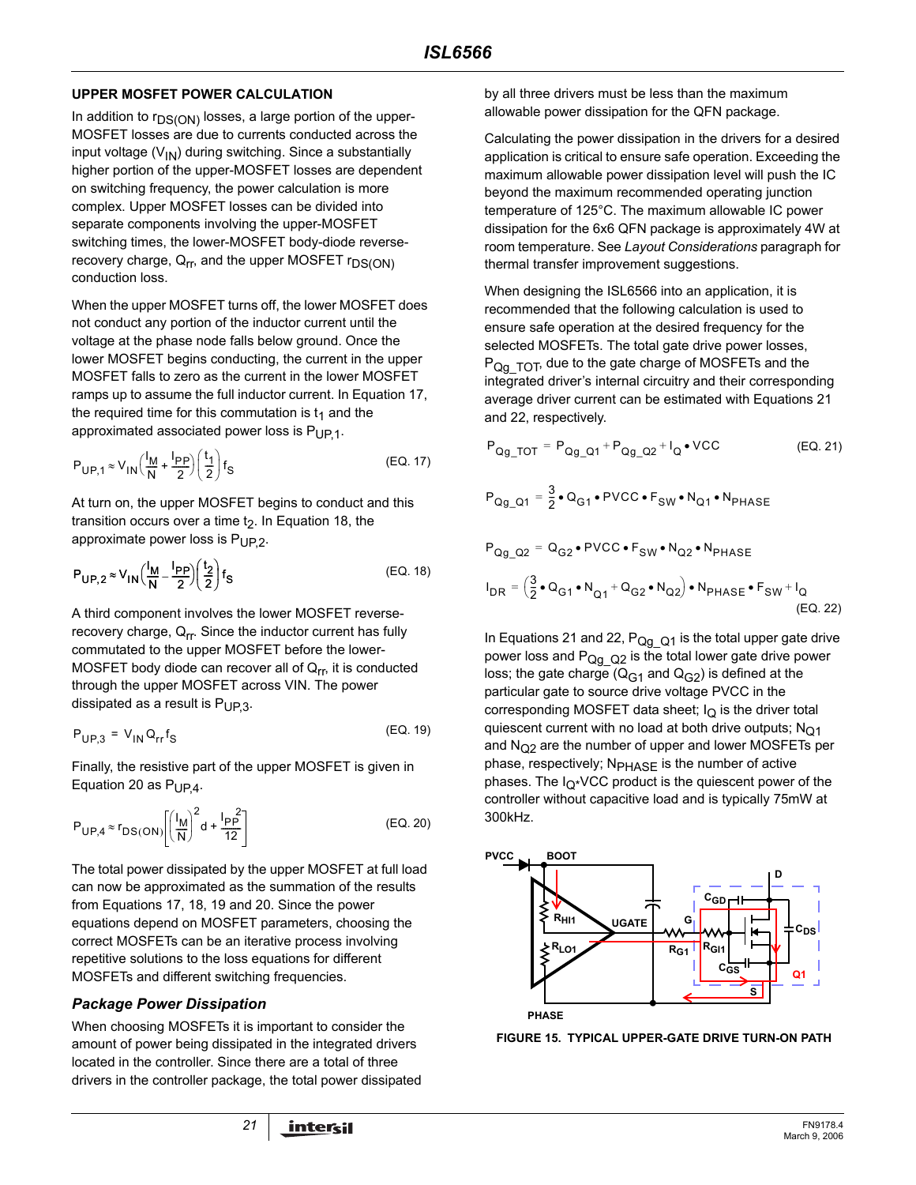### **UPPER MOSFET POWER CALCULATION**

In addition to  $r_{DS(ON)}$  losses, a large portion of the upper-MOSFET losses are due to currents conducted across the input voltage  $(V_{1N})$  during switching. Since a substantially higher portion of the upper-MOSFET losses are dependent on switching frequency, the power calculation is more complex. Upper MOSFET losses can be divided into separate components involving the upper-MOSFET switching times, the lower-MOSFET body-diode reverserecovery charge,  $Q_{rr}$ , and the upper MOSFET  $r_{DS(ON)}$ conduction loss.

When the upper MOSFET turns off, the lower MOSFET does not conduct any portion of the inductor current until the voltage at the phase node falls below ground. Once the lower MOSFET begins conducting, the current in the upper MOSFET falls to zero as the current in the lower MOSFET ramps up to assume the full inductor current. In Equation 17, the required time for this commutation is  $t_1$  and the approximated associated power loss is  $P_{UP}$ <sub>1</sub>.

$$
P_{UP,1} \approx V_{IN} \left(\frac{l_M}{N} + \frac{l_{PP}}{2}\right) \left(\frac{t_1}{2}\right) f_S
$$
 (EQ. 17)

At turn on, the upper MOSFET begins to conduct and this transition occurs over a time  $t<sub>2</sub>$ . In Equation 18, the approximate power loss is  $P_{UP,2}$ .

$$
P_{\mathsf{UP},2} \approx V_{\mathsf{IN}} \left(\frac{I_{\mathsf{M}}}{\mathsf{N}} - \frac{I_{\mathsf{PP}}}{2}\right) \left(\frac{t_2}{2}\right) f_{\mathsf{S}} \tag{Eq. 18}
$$

A third component involves the lower MOSFET reverserecovery charge, Q<sub>rr</sub>. Since the inductor current has fully commutated to the upper MOSFET before the lower-MOSFET body diode can recover all of  $Q_{\text{rr}}$ , it is conducted through the upper MOSFET across VIN. The power dissipated as a result is  $P_{UP3}$ .

$$
P_{UP,3} = V_{IN} Q_{rr} f_S
$$
 (EQ. 19)

Finally, the resistive part of the upper MOSFET is given in Equation 20 as  $P_{UP4}$ .

$$
P_{\text{UP},4} \approx r_{\text{DS}(\text{ON})} \left[ \left( \frac{I_M}{N} \right)^2 d + \frac{I_{\text{PP}}^2}{12} \right] \tag{Eq. 20}
$$

The total power dissipated by the upper MOSFET at full load can now be approximated as the summation of the results from Equations 17, 18, 19 and 20. Since the power equations depend on MOSFET parameters, choosing the correct MOSFETs can be an iterative process involving repetitive solutions to the loss equations for different MOSFETs and different switching frequencies.

# *Package Power Dissipation*

When choosing MOSFETs it is important to consider the amount of power being dissipated in the integrated drivers located in the controller. Since there are a total of three drivers in the controller package, the total power dissipated by all three drivers must be less than the maximum allowable power dissipation for the QFN package.

Calculating the power dissipation in the drivers for a desired application is critical to ensure safe operation. Exceeding the maximum allowable power dissipation level will push the IC beyond the maximum recommended operating junction temperature of 125°C. The maximum allowable IC power dissipation for the 6x6 QFN package is approximately 4W at room temperature. See *Layout Considerations* paragraph for thermal transfer improvement suggestions.

When designing the ISL6566 into an application, it is recommended that the following calculation is used to ensure safe operation at the desired frequency for the selected MOSFETs. The total gate drive power losses,  $P_{Qq\ TOT}$ , due to the gate charge of MOSFETs and the integrated driver's internal circuitry and their corresponding average driver current can be estimated with Equations 21 and 22, respectively.

$$
P_{Qg\_TOT} = P_{Qg\_Q1} + P_{Qg\_Q2} + I_Q \bullet VCC
$$
 (EQ. 21)

$$
P_{\text{Qg\_Q1}} = \frac{3}{2} \cdot \text{Q}_{\text{G1}} \cdot \text{PVCC} \cdot F_{\text{SW}} \cdot \text{N}_{\text{Q1}} \cdot \text{N}_{\text{PHASE}}
$$

$$
P_{Qg\_Q2} = Q_{G2} \cdot \text{PVCC} \cdot F_{SW} \cdot N_{Q2} \cdot N_{PHASE}
$$
  
\n
$$
I_{DR} = \left(\frac{3}{2} \cdot Q_{G1} \cdot N_{Q1} + Q_{G2} \cdot N_{Q2}\right) \cdot N_{PHASE} \cdot F_{SW} + I_{Q}
$$
  
\n(EQ. 22)

In Equations 21 and 22,  $P_{Qg_Q}$  is the total upper gate drive power loss and  $P_{Qg\_{Q}2}$  is the total lower gate drive power loss; the gate charge  $(Q_{G1}$  and  $Q_{G2})$  is defined at the particular gate to source drive voltage PVCC in the corresponding MOSFET data sheet;  $I<sub>O</sub>$  is the driver total quiescent current with no load at both drive outputs;  $N<sub>Q1</sub>$ and  $N<sub>O2</sub>$  are the number of upper and lower MOSFETs per phase, respectively; N<sub>PHASE</sub> is the number of active phases. The  $I_{Q^*}$ VCC product is the quiescent power of the controller without capacitive load and is typically 75mW at 300kHz.



<span id="page-20-0"></span>**FIGURE 15. TYPICAL UPPER-GATE DRIVE TURN-ON PATH**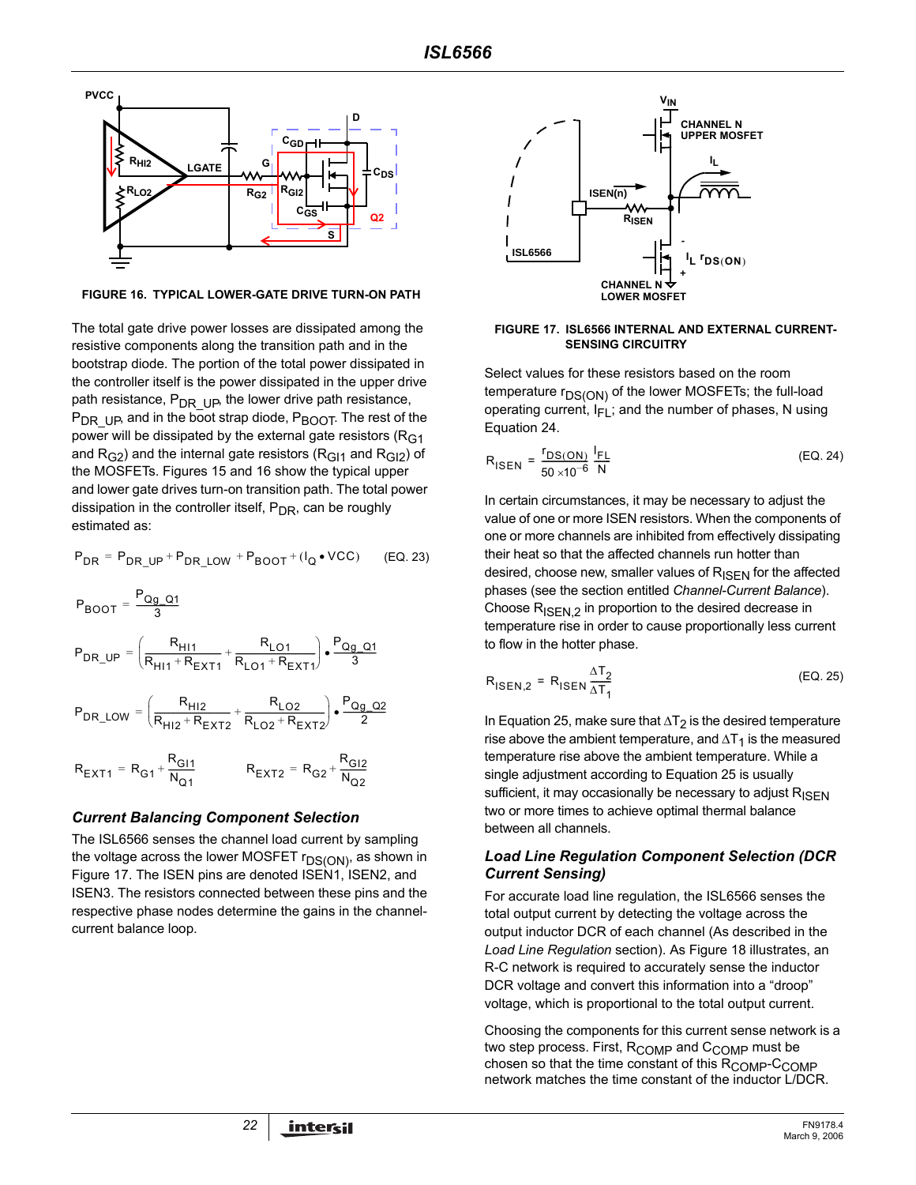

<span id="page-21-0"></span>**FIGURE 16. TYPICAL LOWER-GATE DRIVE TURN-ON PATH**

The total gate drive power losses are dissipated among the resistive components along the transition path and in the bootstrap diode. The portion of the total power dissipated in the controller itself is the power dissipated in the upper drive path resistance,  $P_{DR}$  Up, the lower drive path resistance,  $P_{DR-UP}$ , and in the boot strap diode,  $P_{BOOT}$ . The rest of the power will be dissipated by the external gate resistors ( $R<sub>G1</sub>$ and  $R_{G2}$ ) and the internal gate resistors ( $R_{G11}$  and  $R_{G12}$ ) of the MOSFETs. Figures [15](#page-20-0) and [16](#page-21-0) show the typical upper and lower gate drives turn-on transition path. The total power dissipation in the controller itself,  $P_{DR}$ , can be roughly estimated as:

$$
P_{DR} = P_{DR\_UP} + P_{DR\_LOW} + P_{BOOT} + (I_Q \bullet VCC) \qquad (EQ. 23)
$$
\n
$$
P_{BOOT} = \frac{P_{Qg\_Q1}}{3}
$$
\n
$$
P_{DR\_UP} = \left(\frac{R_{H11}}{R_{H11} + R_{EXT1}} + \frac{R_{LO1}}{R_{LO1} + R_{EXT1}}\right) \cdot \frac{P_{Qg\_Q1}}{3}
$$
\n
$$
P_{DR\_LOW} = \left(\frac{R_{H12}}{R_{H12} + R_{EXT2}} + \frac{R_{LO2}}{R_{LO2} + R_{EXT2}}\right) \cdot \frac{P_{Qg\_Q2}}{2}
$$
\n
$$
R_{EXT1} = R_{G1} + \frac{R_{GI1}}{N_{Q1}} \qquad R_{EXT2} = R_{G2} + \frac{R_{GI2}}{N_{Q2}}
$$

#### *Current Balancing Component Selection*

 $N_{Q1}$ 

The ISL6566 senses the channel load current by sampling the voltage across the lower MOSFET  $r_{DS(ON)}$ , as shown in Figure 17. The ISEN pins are denoted ISEN1, ISEN2, and ISEN3. The resistors connected between these pins and the respective phase nodes determine the gains in the channelcurrent balance loop.



#### **FIGURE 17. ISL6566 INTERNAL AND EXTERNAL CURRENT-SENSING CIRCUITRY**

Select values for these resistors based on the room temperature  $r_{DS(ON)}$  of the lower MOSFETs; the full-load operating current,  $I_{FI}$ ; and the number of phases, N using Equation 24.

$$
R_{\text{ISEN}} = \frac{r_{\text{DS}(\text{ON})}}{50 \times 10^{-6}} \frac{I_{\text{FL}}}{N}
$$
 (EQ. 24)

In certain circumstances, it may be necessary to adjust the value of one or more ISEN resistors. When the components of one or more channels are inhibited from effectively dissipating their heat so that the affected channels run hotter than desired, choose new, smaller values of  $R_{\text{ISFN}}$  for the affected phases (see the section entitled *[Channel-Current Balance](#page-10-0)*). Choose  $R_{\text{ISEN}.2}$  in proportion to the desired decrease in temperature rise in order to cause proportionally less current to flow in the hotter phase.

$$
R_{\text{ISEN},2} = R_{\text{ISEN}} \frac{\Delta T_2}{\Delta T_1}
$$
 (EQ. 25)

In Equation 25, make sure that  $\Delta T_2$  is the desired temperature rise above the ambient temperature, and  $\Delta T_1$  is the measured temperature rise above the ambient temperature. While a single adjustment according to Equation 25 is usually sufficient, it may occasionally be necessary to adjust  $R_{\text{ISFN}}$ two or more times to achieve optimal thermal balance between all channels.

### *Load Line Regulation Component Selection (DCR Current Sensing)*

For accurate load line regulation, the ISL6566 senses the total output current by detecting the voltage across the output inductor DCR of each channel (As described in the *Load Line Regulation* section). As Figure 18 illustrates, an R-C network is required to accurately sense the inductor DCR voltage and convert this information into a "droop" voltage, which is proportional to the total output current.

Choosing the components for this current sense network is a two step process. First, R<sub>COMP</sub> and C<sub>COMP</sub> must be chosen so that the time constant of this  $R_{\text{COMP}}-C_{\text{COMP}}$ network matches the time constant of the inductor L/DCR.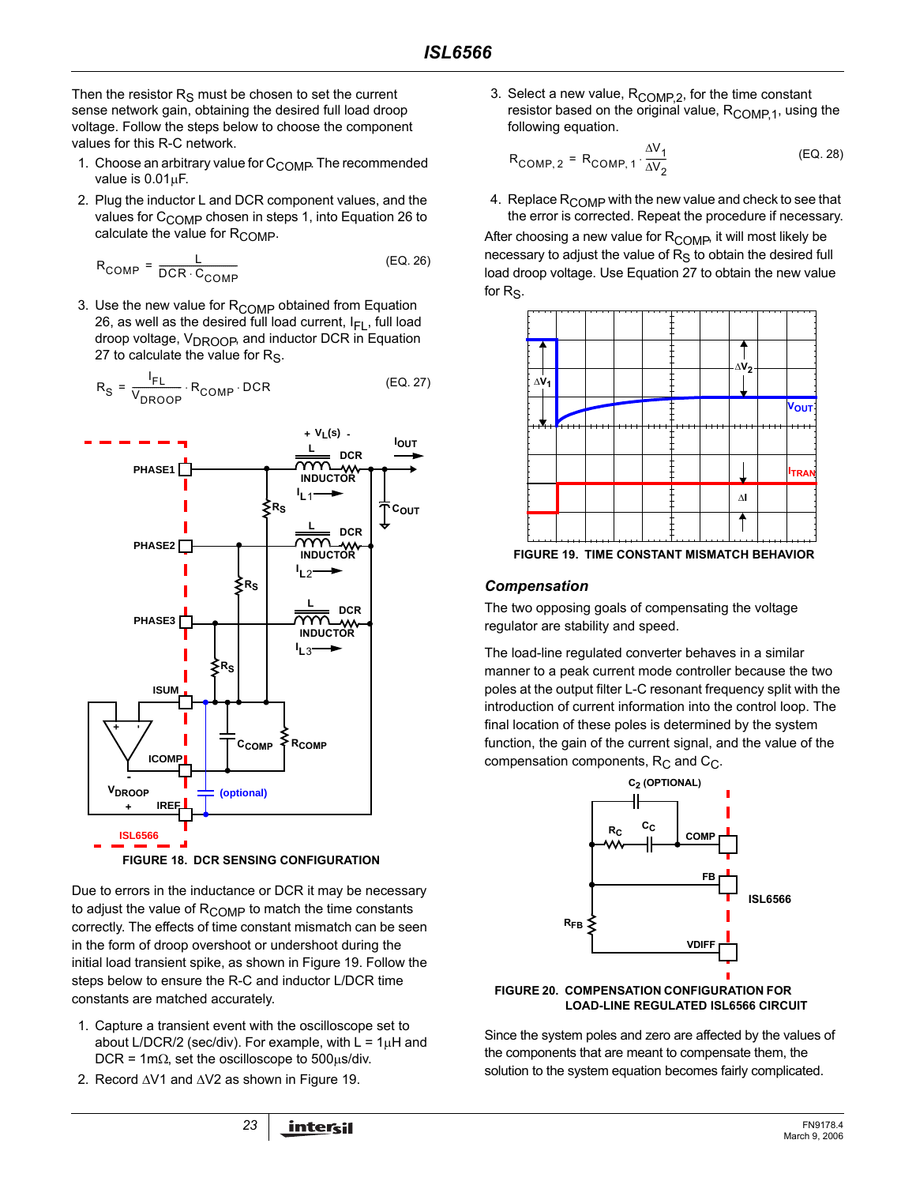Then the resistor  $R<sub>S</sub>$  must be chosen to set the current sense network gain, obtaining the desired full load droop voltage. Follow the steps below to choose the component values for this R-C network.

- 1. Choose an arbitrary value for  $C_{\text{COMP}}$ . The recommended value is 0.01µF.
- 2. Plug the inductor L and DCR component values, and the values for C<sub>COMP</sub> chosen in steps 1, into Equation 26 to calculate the value for  $R_{\text{COMP}}$ .

$$
R_{COMP} = \frac{L}{DCR \cdot C_{COMP}} \tag{EQ.26}
$$

3. Use the new value for  $R_{\text{COMP}}$  obtained from Equation 26, as well as the desired full load current,  $I_{FI}$ , full load droop voltage, V<sub>DROOP</sub>, and inductor DCR in Equation 27 to calculate the value for  $R<sub>S</sub>$ .

$$
R_{\rm S} = \frac{I_{\rm FL}}{V_{\rm DROOP}} \cdot R_{\rm COMP} \cdot \text{DCR}
$$
 (EQ. 27)



Due to errors in the inductance or DCR it may be necessary to adjust the value of  $R_{\text{COMP}}$  to match the time constants correctly. The effects of time constant mismatch can be seen in the form of droop overshoot or undershoot during the initial load transient spike, as shown in Figure 19. Follow the steps below to ensure the R-C and inductor L/DCR time constants are matched accurately.

- 1. Capture a transient event with the oscilloscope set to about L/DCR/2 (sec/div). For example, with  $L = 1\mu H$  and DCR = 1m $\Omega$ , set the oscilloscope to 500 $\mu$ s/div.
- 2. Record ∆V1 and ∆V2 as shown in Figure 19.

3. Select a new value, R<sub>COMP,2</sub>, for the time constant resistor based on the original value,  $R_{\text{COMP 1}}$ , using the following equation.

$$
R_{COMP, 2} = R_{COMP, 1} \cdot \frac{\Delta V_1}{\Delta V_2}
$$
 (EQ. 28)

4. Replace  $R_{\text{COMP}}$  with the new value and check to see that the error is corrected. Repeat the procedure if necessary.

After choosing a new value for R<sub>COMP</sub>, it will most likely be necessary to adjust the value of  $R<sub>S</sub>$  to obtain the desired full load droop voltage. Use Equation 27 to obtain the new value for  $Re$ .



**FIGURE 19. TIME CONSTANT MISMATCH BEHAVIOR**

### *Compensation*

The two opposing goals of compensating the voltage regulator are stability and speed.

The load-line regulated converter behaves in a similar manner to a peak current mode controller because the two poles at the output filter L-C resonant frequency split with the introduction of current information into the control loop. The final location of these poles is determined by the system function, the gain of the current signal, and the value of the compensation components,  $R_C$  and  $C_C$ .



#### **FIGURE 20. COMPENSATION CONFIGURATION FOR LOAD-LINE REGULATED ISL6566 CIRCUIT**

Since the system poles and zero are affected by the values of the components that are meant to compensate them, the solution to the system equation becomes fairly complicated.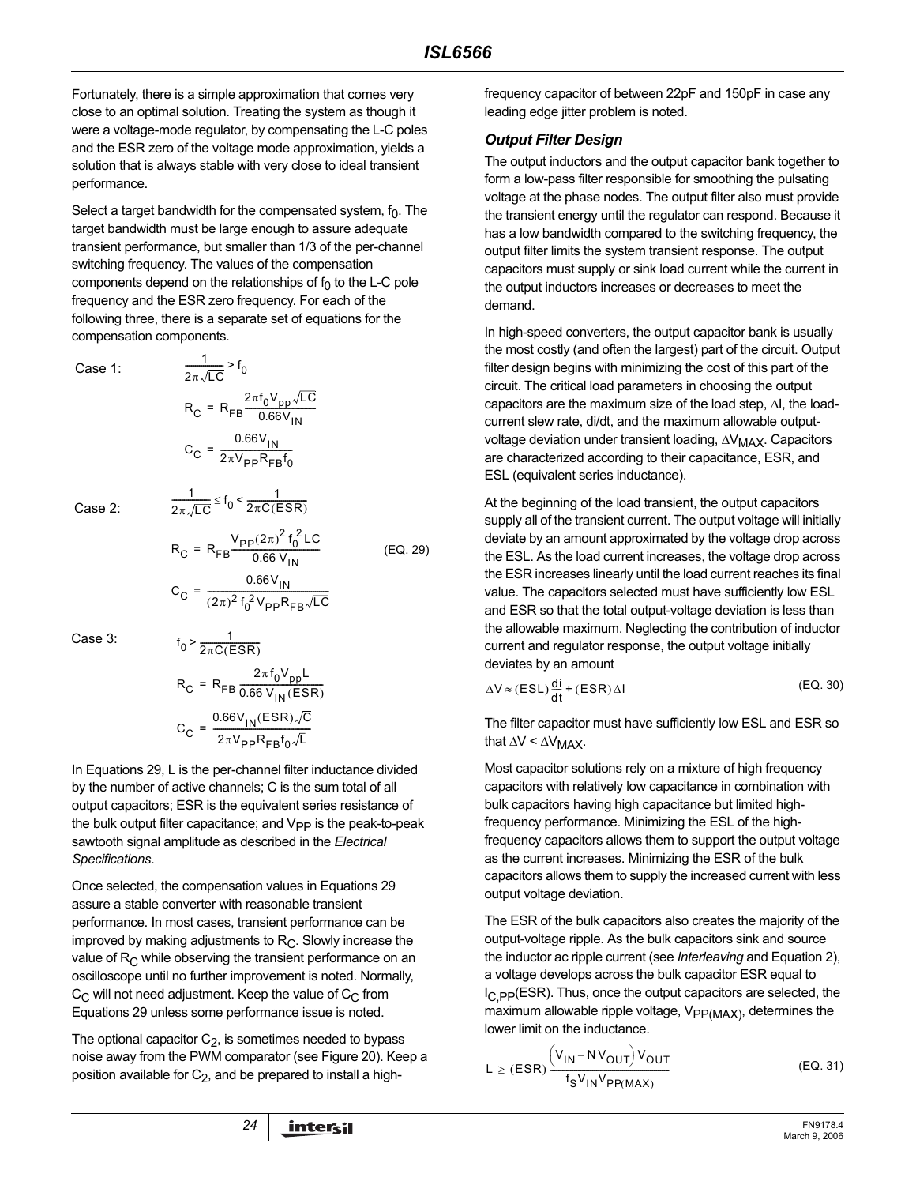Fortunately, there is a simple approximation that comes very close to an optimal solution. Treating the system as though it were a voltage-mode regulator, by compensating the L-C poles and the ESR zero of the voltage mode approximation, yields a solution that is always stable with very close to ideal transient performance.

Select a target bandwidth for the compensated system,  $f_0$ . The target bandwidth must be large enough to assure adequate transient performance, but smaller than 1/3 of the per-channel switching frequency. The values of the compensation components depend on the relationships of  $f_0$  to the L-C pole frequency and the ESR zero frequency. For each of the following three, there is a separate set of equations for the compensation components.

Case 1:

$$
\frac{1}{2\pi\sqrt{LC}} > f_0
$$
  
\n
$$
R_C = R_{FB} \frac{2\pi f_0 V_{pp} \sqrt{LC}}{0.66 V_{IN}}
$$
  
\n
$$
C_C = \frac{0.66 V_{IN}}{2\pi V_{pp} R_{FB} f_0}
$$

 $\frac{1}{2\pi\sqrt{LC}} \leq f_0 < \frac{1}{2\pi C(E)}$ 

 $\leq f_0 < \frac{1}{2\pi C (ESR)}$ 

1

Case 2:

$$
R_{C} = R_{FB} \frac{V_{pp}(2\pi)^{2} f_{0}^{2} LC}{0.66 V_{IN}}
$$
(EQ. 29)  

$$
C_{C} = \frac{0.66 V_{IN}}{(2\pi)^{2} f_{0}^{2} V_{pp} R_{FB} \sqrt{LC}}
$$

Case 3:

$$
f_0 > \frac{1}{2\pi C(ESR)}
$$
  
\n
$$
R_C = R_{FB} \frac{2\pi f_0 V_{pp} L}{0.66 V_{IN}(ESR)}
$$
  
\n
$$
C_C = \frac{0.66 V_{IN}(ESR) \sqrt{C}}{2\pi V_{pp} R_{FB} f_0 \sqrt{L}}
$$

In Equations 29, L is the per-channel filter inductance divided by the number of active channels; C is the sum total of all output capacitors; ESR is the equivalent series resistance of the bulk output filter capacitance; and  $V_{PP}$  is the peak-to-peak sawtooth signal amplitude as described in the *Electrical Specifications*.

Once selected, the compensation values in Equations 29 assure a stable converter with reasonable transient performance. In most cases, transient performance can be improved by making adjustments to  $R<sub>C</sub>$ . Slowly increase the value of  $R<sub>C</sub>$  while observing the transient performance on an oscilloscope until no further improvement is noted. Normally,  $C_{\text{C}}$  will not need adjustment. Keep the value of  $C_{\text{C}}$  from Equations 29 unless some performance issue is noted.

The optional capacitor  $C_2$ , is sometimes needed to bypass noise away from the PWM comparator (see Figure 20). Keep a position available for  $C_2$ , and be prepared to install a highfrequency capacitor of between 22pF and 150pF in case any leading edge jitter problem is noted.

### <span id="page-23-0"></span>*Output Filter Design*

The output inductors and the output capacitor bank together to form a low-pass filter responsible for smoothing the pulsating voltage at the phase nodes. The output filter also must provide the transient energy until the regulator can respond. Because it has a low bandwidth compared to the switching frequency, the output filter limits the system transient response. The output capacitors must supply or sink load current while the current in the output inductors increases or decreases to meet the demand.

In high-speed converters, the output capacitor bank is usually the most costly (and often the largest) part of the circuit. Output filter design begins with minimizing the cost of this part of the circuit. The critical load parameters in choosing the output capacitors are the maximum size of the load step, ∆I, the loadcurrent slew rate, di/dt, and the maximum allowable outputvoltage deviation under transient loading, ∆V<sub>MAX</sub>. Capacitors are characterized according to their capacitance, ESR, and ESL (equivalent series inductance).

At the beginning of the load transient, the output capacitors supply all of the transient current. The output voltage will initially deviate by an amount approximated by the voltage drop across the ESL. As the load current increases, the voltage drop across the ESR increases linearly until the load current reaches its final value. The capacitors selected must have sufficiently low ESL and ESR so that the total output-voltage deviation is less than the allowable maximum. Neglecting the contribution of inductor current and regulator response, the output voltage initially deviates by an amount

$$
\Delta V \approx (ESL) \frac{di}{dt} + (ESR) \Delta I
$$
 (EQ. 30)

The filter capacitor must have sufficiently low ESL and ESR so that  $\Delta V \leq \Delta V_{MAX}$ .

Most capacitor solutions rely on a mixture of high frequency capacitors with relatively low capacitance in combination with bulk capacitors having high capacitance but limited highfrequency performance. Minimizing the ESL of the highfrequency capacitors allows them to support the output voltage as the current increases. Minimizing the ESR of the bulk capacitors allows them to supply the increased current with less output voltage deviation.

The ESR of the bulk capacitors also creates the majority of the output-voltage ripple. As the bulk capacitors sink and source the inductor ac ripple current (see *[Interleaving](#page-9-2)* and Equation [2\)](#page-9-1), a voltage develops across the bulk capacitor ESR equal to  $I_{\rm C}$  pp(ESR). Thus, once the output capacitors are selected, the maximum allowable ripple voltage,  $V_{PP(MAX)}$ , determines the lower limit on the inductance.

$$
L \ge (ESR) \frac{\left(V_{IN} - NV_{OUT}\right)V_{OUT}}{f_S V_{IN}V_{PP(MAX)}}
$$
 (EQ. 31)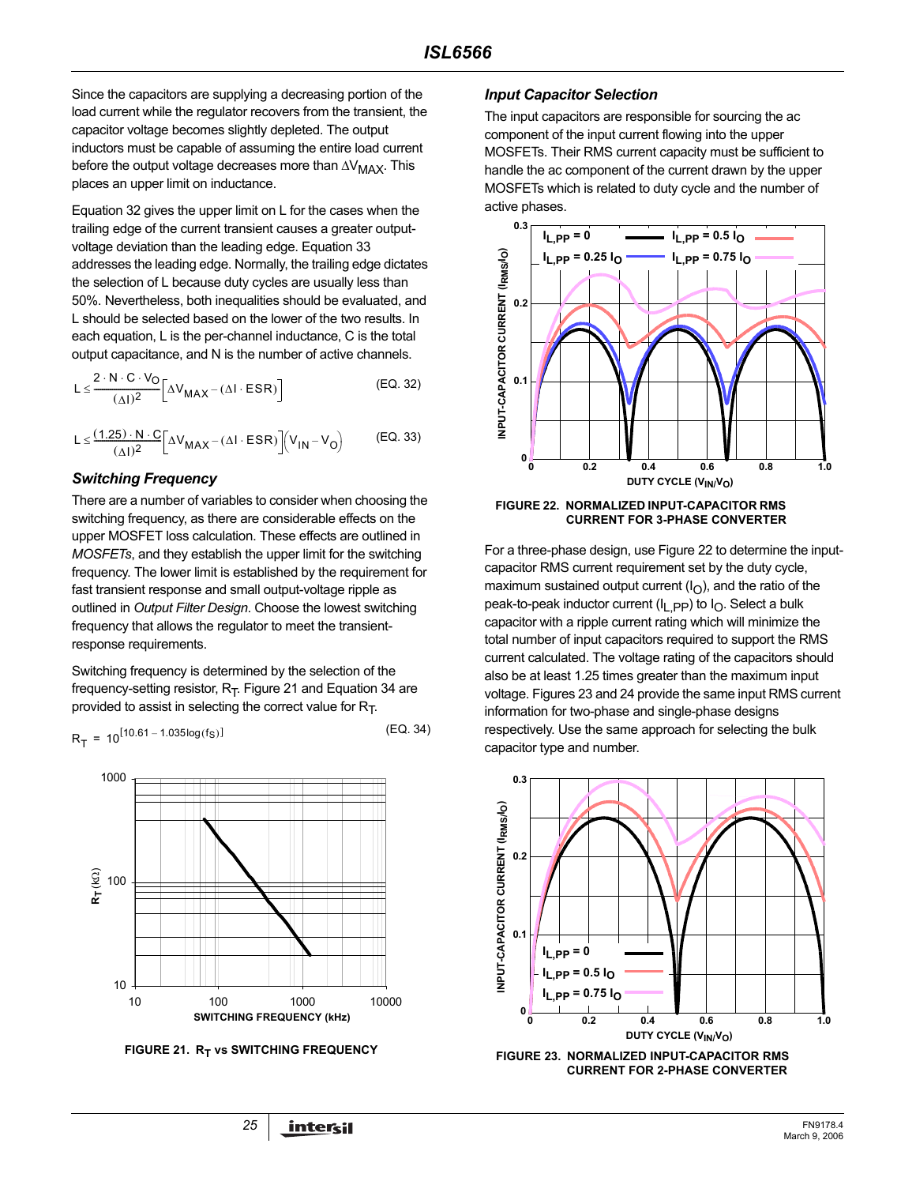Since the capacitors are supplying a decreasing portion of the load current while the regulator recovers from the transient, the capacitor voltage becomes slightly depleted. The output inductors must be capable of assuming the entire load current before the output voltage decreases more than  $\Delta V_{MAX}$ . This places an upper limit on inductance.

Equation 32 gives the upper limit on L for the cases when the trailing edge of the current transient causes a greater outputvoltage deviation than the leading edge. Equation 33 addresses the leading edge. Normally, the trailing edge dictates the selection of L because duty cycles are usually less than 50%. Nevertheless, both inequalities should be evaluated, and L should be selected based on the lower of the two results. In each equation, L is the per-channel inductance, C is the total output capacitance, and N is the number of active channels.

$$
L \leq \frac{2 \cdot N \cdot C \cdot V_O}{(\Delta I)^2} \left[ \Delta V_{MAX} - (\Delta I \cdot ESR) \right]
$$
 (EQ. 32)

$$
L \leq \frac{(1.25) \cdot N \cdot C}{(\Delta I)^2} \left[ \Delta V_{MAX} - (\Delta I \cdot ESR) \right] \left( V_{IN} - V_O \right) \tag{EQ.33}
$$

#### *Switching Frequency*

There are a number of variables to consider when choosing the switching frequency, as there are considerable effects on the upper MOSFET loss calculation. These effects are outlined in *[MOSFETs](#page-19-0)*, and they establish the upper limit for the switching frequency. The lower limit is established by the requirement for fast transient response and small output-voltage ripple as outlined in *[Output Filter Design](#page-23-0)*. Choose the lowest switching frequency that allows the regulator to meet the transientresponse requirements.

Switching frequency is determined by the selection of the frequency-setting resistor,  $R_T$ . Figure 21 and Equation 34 are provided to assist in selecting the correct value for  $R_T$ .

$$
R_{T} = 10^{[10.61 - 1.035 \log(f_S)]}
$$
 (EQ. 34)



**FIGURE 21. RT vs SWITCHING FREQUENCY** 

#### *Input Capacitor Selection*

The input capacitors are responsible for sourcing the ac component of the input current flowing into the upper MOSFETs. Their RMS current capacity must be sufficient to handle the ac component of the current drawn by the upper MOSFETs which is related to duty cycle and the number of active phases.



**FIGURE 22. NORMALIZED INPUT-CAPACITOR RMS CURRENT FOR 3-PHASE CONVERTER**

For a three-phase design, use Figure 22 to determine the inputcapacitor RMS current requirement set by the duty cycle, maximum sustained output current  $(I<sub>O</sub>)$ , and the ratio of the peak-to-peak inductor current ( $I_{\text{L}}$  pp) to  $I_{\text{O}}$ . Select a bulk capacitor with a ripple current rating which will minimize the total number of input capacitors required to support the RMS current calculated. The voltage rating of the capacitors should also be at least 1.25 times greater than the maximum input voltage. Figures 23 and 24 provide the same input RMS current information for two-phase and single-phase designs respectively. Use the same approach for selecting the bulk capacitor type and number.



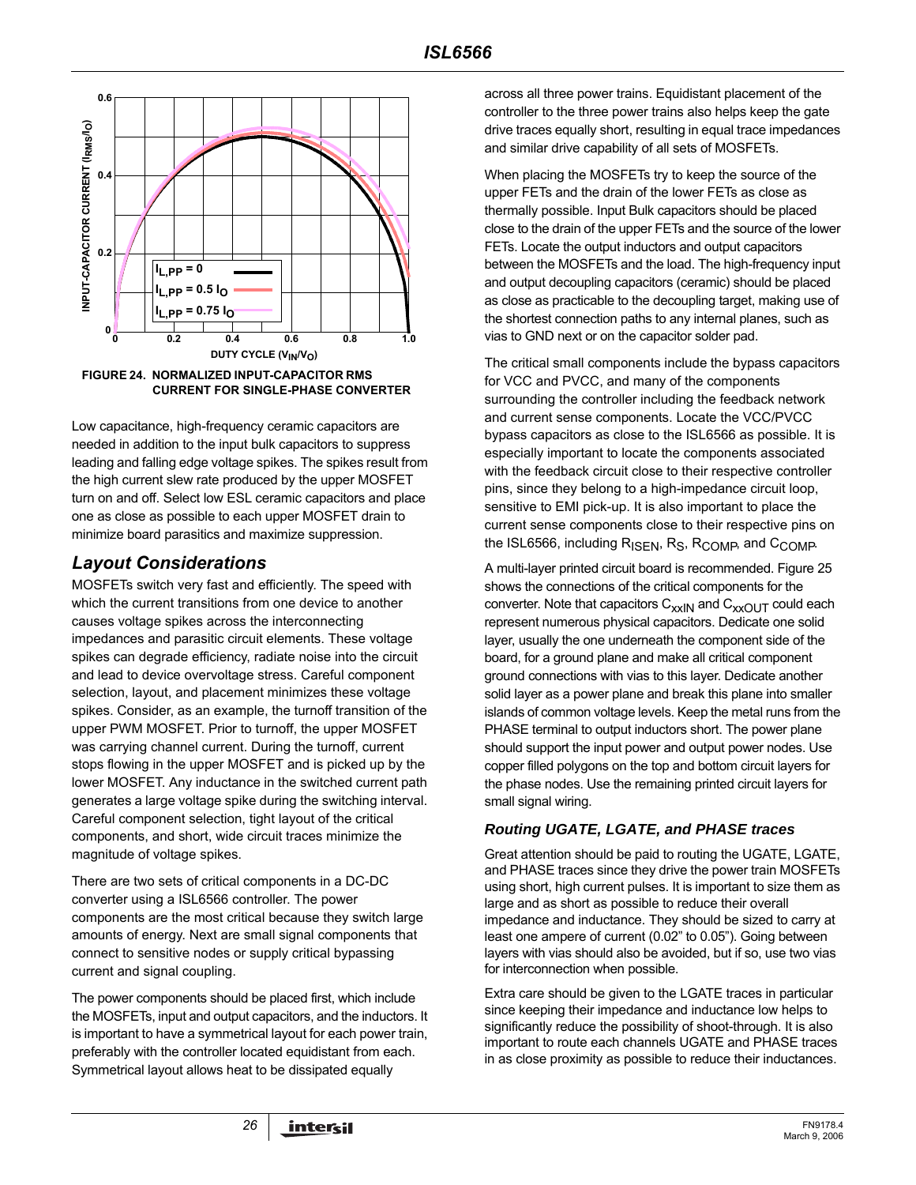

Low capacitance, high-frequency ceramic capacitors are needed in addition to the input bulk capacitors to suppress leading and falling edge voltage spikes. The spikes result from the high current slew rate produced by the upper MOSFET turn on and off. Select low ESL ceramic capacitors and place one as close as possible to each upper MOSFET drain to minimize board parasitics and maximize suppression.

# *Layout Considerations*

MOSFETs switch very fast and efficiently. The speed with which the current transitions from one device to another causes voltage spikes across the interconnecting impedances and parasitic circuit elements. These voltage spikes can degrade efficiency, radiate noise into the circuit and lead to device overvoltage stress. Careful component selection, layout, and placement minimizes these voltage spikes. Consider, as an example, the turnoff transition of the upper PWM MOSFET. Prior to turnoff, the upper MOSFET was carrying channel current. During the turnoff, current stops flowing in the upper MOSFET and is picked up by the lower MOSFET. Any inductance in the switched current path generates a large voltage spike during the switching interval. Careful component selection, tight layout of the critical components, and short, wide circuit traces minimize the magnitude of voltage spikes.

There are two sets of critical components in a DC-DC converter using a ISL6566 controller. The power components are the most critical because they switch large amounts of energy. Next are small signal components that connect to sensitive nodes or supply critical bypassing current and signal coupling.

The power components should be placed first, which include the MOSFETs, input and output capacitors, and the inductors. It is important to have a symmetrical layout for each power train, preferably with the controller located equidistant from each. Symmetrical layout allows heat to be dissipated equally

across all three power trains. Equidistant placement of the controller to the three power trains also helps keep the gate drive traces equally short, resulting in equal trace impedances and similar drive capability of all sets of MOSFETs.

When placing the MOSFETs try to keep the source of the upper FETs and the drain of the lower FETs as close as thermally possible. Input Bulk capacitors should be placed close to the drain of the upper FETs and the source of the lower FETs. Locate the output inductors and output capacitors between the MOSFETs and the load. The high-frequency input and output decoupling capacitors (ceramic) should be placed as close as practicable to the decoupling target, making use of the shortest connection paths to any internal planes, such as vias to GND next or on the capacitor solder pad.

The critical small components include the bypass capacitors for VCC and PVCC, and many of the components surrounding the controller including the feedback network and current sense components. Locate the VCC/PVCC bypass capacitors as close to the ISL6566 as possible. It is especially important to locate the components associated with the feedback circuit close to their respective controller pins, since they belong to a high-impedance circuit loop, sensitive to EMI pick-up. It is also important to place the current sense components close to their respective pins on the ISL6566, including R<sub>ISEN</sub>, R<sub>S</sub>, R<sub>COMP</sub>, and C<sub>COMP</sub>.

A multi-layer printed circuit board is recommended. Figure 25 shows the connections of the critical components for the converter. Note that capacitors  $C_{xx}$ <sub>N</sub> and  $C_{xx}$ <sub>OUT</sub> could each represent numerous physical capacitors. Dedicate one solid layer, usually the one underneath the component side of the board, for a ground plane and make all critical component ground connections with vias to this layer. Dedicate another solid layer as a power plane and break this plane into smaller islands of common voltage levels. Keep the metal runs from the PHASE terminal to output inductors short. The power plane should support the input power and output power nodes. Use copper filled polygons on the top and bottom circuit layers for the phase nodes. Use the remaining printed circuit layers for small signal wiring.

# *Routing UGATE, LGATE, and PHASE traces*

Great attention should be paid to routing the UGATE, LGATE, and PHASE traces since they drive the power train MOSFETs using short, high current pulses. It is important to size them as large and as short as possible to reduce their overall impedance and inductance. They should be sized to carry at least one ampere of current (0.02" to 0.05"). Going between layers with vias should also be avoided, but if so, use two vias for interconnection when possible.

Extra care should be given to the LGATE traces in particular since keeping their impedance and inductance low helps to significantly reduce the possibility of shoot-through. It is also important to route each channels UGATE and PHASE traces in as close proximity as possible to reduce their inductances.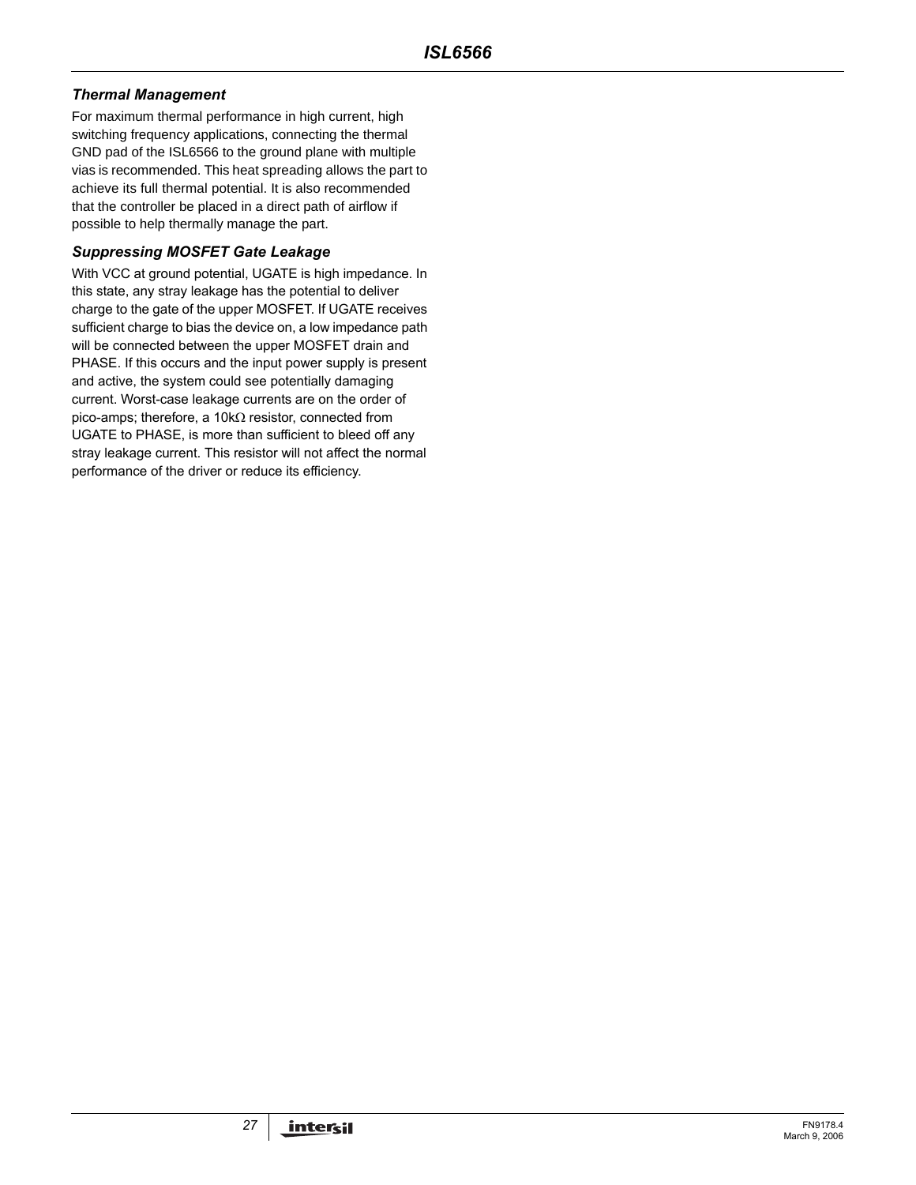### *Thermal Management*

For maximum thermal performance in high current, high switching frequency applications, connecting the thermal GND pad of the ISL6566 to the ground plane with multiple vias is recommended. This heat spreading allows the part to achieve its full thermal potential. It is also recommended that the controller be placed in a direct path of airflow if possible to help thermally manage the part.

### *Suppressing MOSFET Gate Leakage*

With VCC at ground potential, UGATE is high impedance. In this state, any stray leakage has the potential to deliver charge to the gate of the upper MOSFET. If UGATE receives sufficient charge to bias the device on, a low impedance path will be connected between the upper MOSFET drain and PHASE. If this occurs and the input power supply is present and active, the system could see potentially damaging current. Worst-case leakage currents are on the order of pico-amps; therefore, a 10kΩ resistor, connected from UGATE to PHASE, is more than sufficient to bleed off any stray leakage current. This resistor will not affect the normal performance of the driver or reduce its efficiency.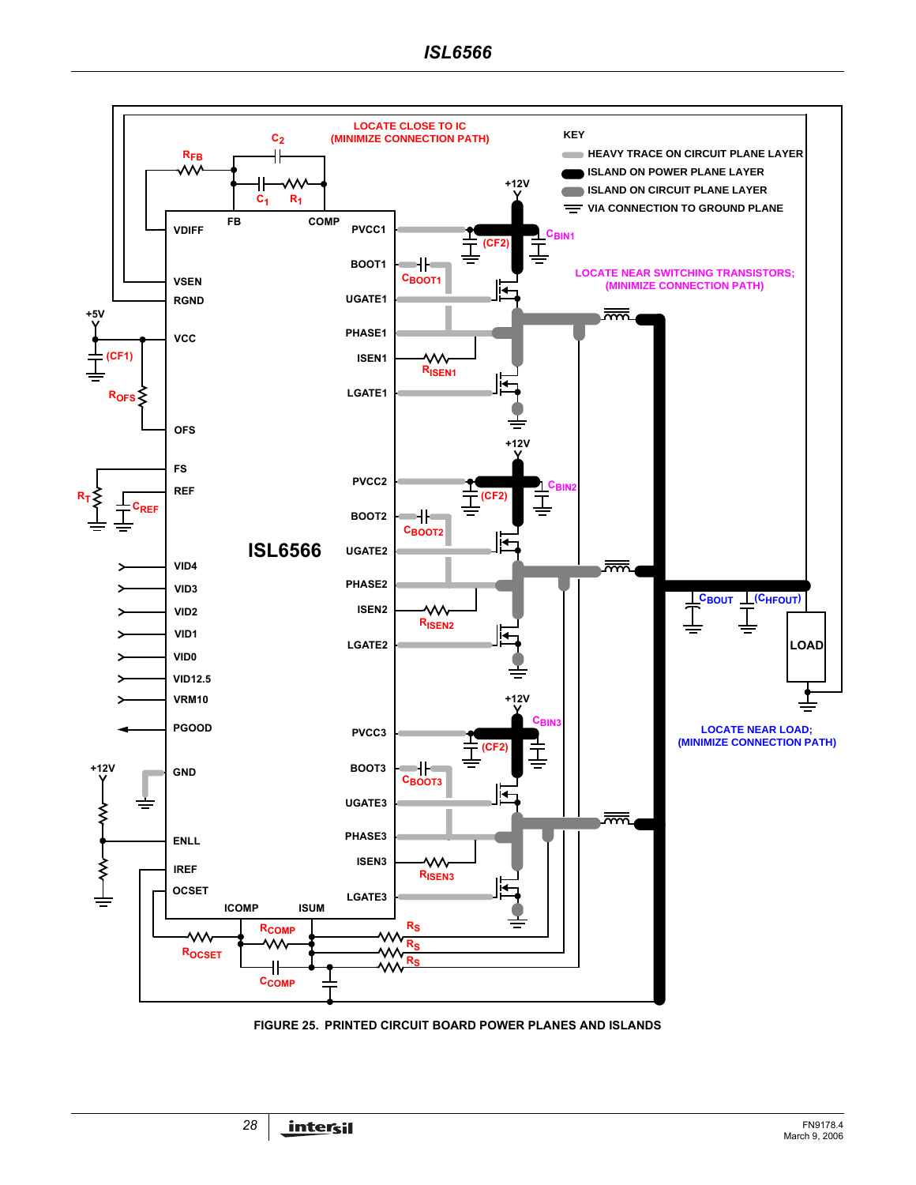

**FIGURE 25. PRINTED CIRCUIT BOARD POWER PLANES AND ISLANDS**